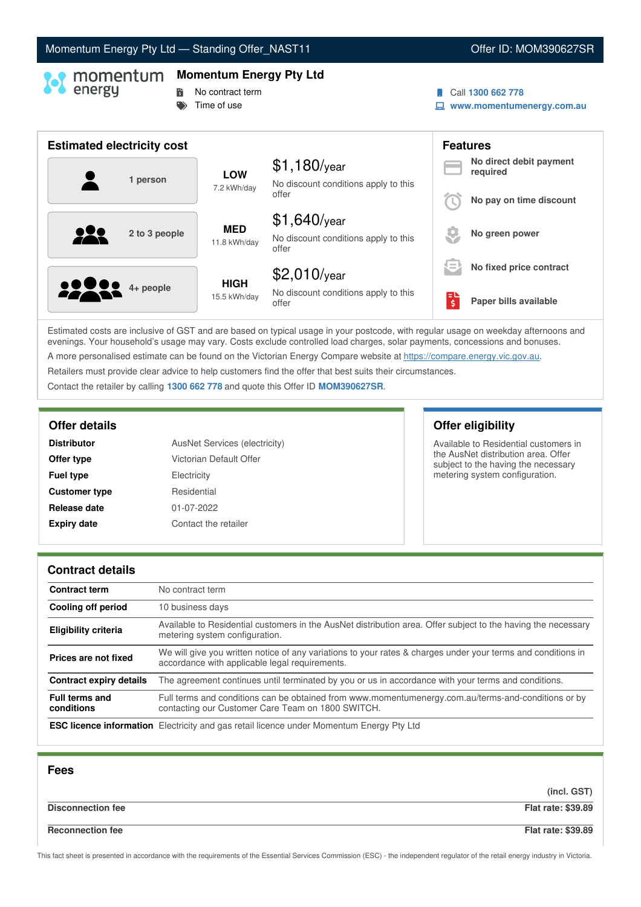# Momentum Energy Pty Ltd - Standing Offer\_NAST11 Offer ID: MOM390627SR

### **Momentum Energy Pty Ltd**

# **No contract term**

 $\Rightarrow$  Time of use

### Call **1300 662 778**

**www.momentumenergy.com.au**

| <b>Estimated electricity cost</b> |                             |                                                                 |     | <b>Features</b>                     |
|-----------------------------------|-----------------------------|-----------------------------------------------------------------|-----|-------------------------------------|
| 1 person                          | <b>LOW</b><br>7.2 kWh/day   | $$1,180$ /year<br>No discount conditions apply to this          |     | No direct debit payment<br>required |
|                                   |                             | offer                                                           |     | No pay on time discount             |
| 2 to 3 people                     | <b>MED</b><br>11.8 kWh/day  | $$1,640$ /year<br>No discount conditions apply to this<br>offer |     | No green power                      |
|                                   |                             | $$2,010$ /year                                                  | $=$ | No fixed price contract             |
| <b>2000</b> 4+ people             | <b>HIGH</b><br>15.5 kWh/day | No discount conditions apply to this<br>offer                   | ЕΙ  | Paper bills available               |

Estimated costs are inclusive of GST and are based on typical usage in your postcode, with regular usage on weekday afternoons and evenings. Your household's usage may vary. Costs exclude controlled load charges, solar payments, concessions and bonuses. A more personalised estimate can be found on the Victorian Energy Compare website at <https://compare.energy.vic.gov.au>.

Retailers must provide clear advice to help customers find the offer that best suits their circumstances.

Contact the retailer by calling **1300 662 778** and quote this Offer ID **MOM390627SR**.

| <b>Distributor</b>   | AusNet Services (electricity) |
|----------------------|-------------------------------|
| Offer type           | Victorian Default Offer       |
| <b>Fuel type</b>     | Electricity                   |
| <b>Customer type</b> | Residential                   |
| Release date         | 01-07-2022                    |
| <b>Expiry date</b>   | Contact the retailer          |

**Offer details Offer eligibility**

Available to Residential customers in the AusNet distribution area. Offer subject to the having the necessary metering system configuration.

### **Contract details**

| <b>Contract term</b>                | No contract term                                                                                                                                               |
|-------------------------------------|----------------------------------------------------------------------------------------------------------------------------------------------------------------|
| Cooling off period                  | 10 business days                                                                                                                                               |
| <b>Eligibility criteria</b>         | Available to Residential customers in the AusNet distribution area. Offer subject to the having the necessary<br>metering system configuration.                |
| Prices are not fixed                | We will give you written notice of any variations to your rates & charges under your terms and conditions in<br>accordance with applicable legal requirements. |
| Contract expiry details             | The agreement continues until terminated by you or us in accordance with your terms and conditions.                                                            |
| <b>Full terms and</b><br>conditions | Full terms and conditions can be obtained from www.momentumenergy.com.au/terms-and-conditions or by<br>contacting our Customer Care Team on 1800 SWITCH.       |
|                                     | <b>ESC licence information</b> Electricity and gas retail licence under Momentum Energy Pty Ltd                                                                |

| <b>Fees</b>              |                           |
|--------------------------|---------------------------|
|                          | (incl. GST)               |
| <b>Disconnection fee</b> | <b>Flat rate: \$39.89</b> |
| <b>Reconnection fee</b>  | <b>Flat rate: \$39.89</b> |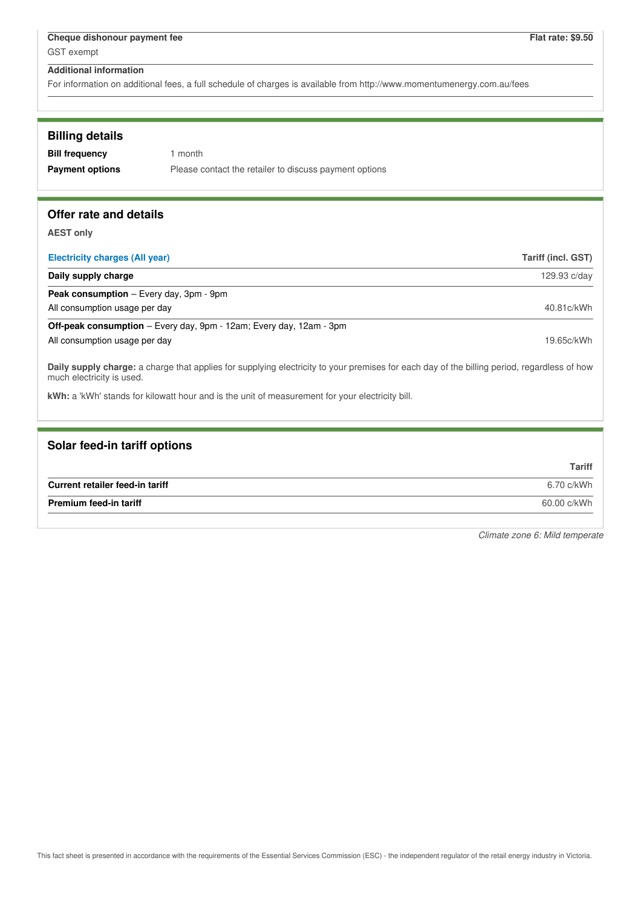For information on additional fees, a full schedule of charges is available from http://www.momentumenergy.com.au/fees

| <b>Billing details</b> |                                                        |
|------------------------|--------------------------------------------------------|
| <b>Bill frequency</b>  | 1 month                                                |
| <b>Payment options</b> | Please contact the retailer to discuss payment options |

# **Offer rate and details**

**AEST only**

| <b>Electricity charges (All year)</b>                                      | Tariff (incl. GST) |
|----------------------------------------------------------------------------|--------------------|
| Daily supply charge                                                        | 129.93 c/day       |
| <b>Peak consumption</b> – Every day, 3pm - 9pm                             |                    |
| All consumption usage per day                                              | 40.81c/kWh         |
| <b>Off-peak consumption</b> – Every day, 9pm - 12am; Every day, 12am - 3pm |                    |
| All consumption usage per day                                              | 19.65c/kWh         |
|                                                                            |                    |

**Daily supply charge:** a charge that applies for supplying electricity to your premises for each day of the billing period, regardless of how much electricity is used.

**kWh:** a 'kWh' stands for kilowatt hour and is the unit of measurement for your electricity bill.

# **Solar feed-in tariff options**

|                                 | <b>Tariff</b> |
|---------------------------------|---------------|
| Current retailer feed-in tariff | 6.70 c/kWh    |
| <b>Premium feed-in tariff</b>   | 60.00 c/kWh   |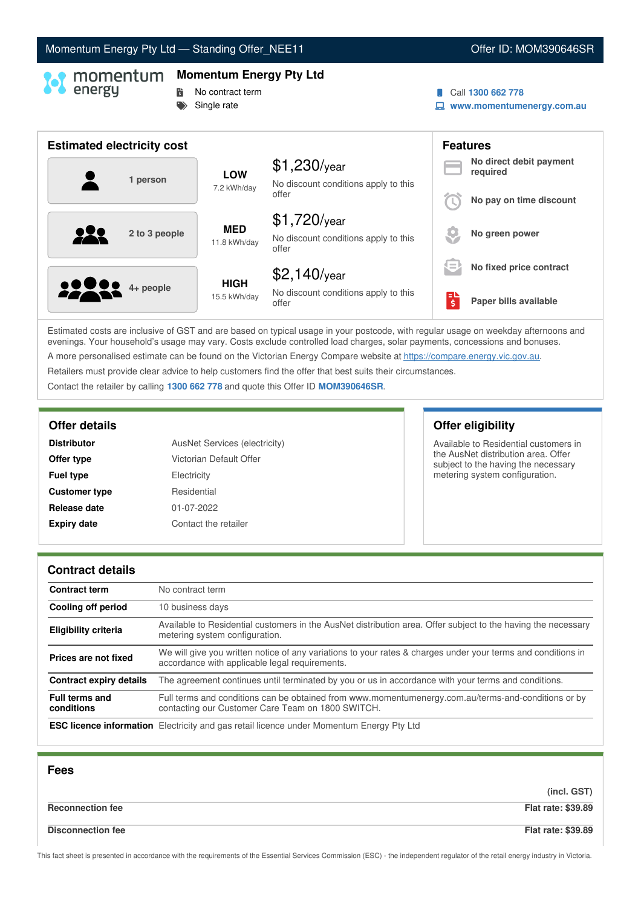# Momentum Energy Pty Ltd - Standing Offer\_NEE11 **Commentum Commentum Energy Pty Ltd** - Standing Offer ID: MOM390646SR

# **Momentum Energy Pty Ltd**

- **No contract term** 
	- Single rate

### Call **1300 662 778**

**www.momentumenergy.com.au**

| <b>Estimated electricity cost</b> |                             |                                                                 |     | <b>Features</b>                     |
|-----------------------------------|-----------------------------|-----------------------------------------------------------------|-----|-------------------------------------|
| 1 person                          | <b>LOW</b><br>7.2 kWh/day   | $$1,230$ /year<br>No discount conditions apply to this          |     | No direct debit payment<br>required |
|                                   |                             | offer                                                           |     | No pay on time discount             |
| QQ<br>2 to 3 people               | <b>MED</b><br>11.8 kWh/day  | $$1,720$ /year<br>No discount conditions apply to this<br>offer |     | No green power                      |
|                                   |                             | $$2,140$ /year                                                  | $=$ | No fixed price contract             |
| <b>2000</b> 4+ people             | <b>HIGH</b><br>15.5 kWh/day | No discount conditions apply to this<br>offer                   | ПÞ  | Paper bills available               |

Estimated costs are inclusive of GST and are based on typical usage in your postcode, with regular usage on weekday afternoons and evenings. Your household's usage may vary. Costs exclude controlled load charges, solar payments, concessions and bonuses. A more personalised estimate can be found on the Victorian Energy Compare website at <https://compare.energy.vic.gov.au>.

Retailers must provide clear advice to help customers find the offer that best suits their circumstances.

Contact the retailer by calling **1300 662 778** and quote this Offer ID **MOM390646SR**.

| <b>Distributor</b>   | AusNet Services (electricity) |
|----------------------|-------------------------------|
| Offer type           | Victorian Default Offer       |
| <b>Fuel type</b>     | Electricity                   |
| <b>Customer type</b> | Residential                   |
| Release date         | 01-07-2022                    |
| <b>Expiry date</b>   | Contact the retailer          |

**Offer details Offer eligibility**

Available to Residential customers in the AusNet distribution area. Offer subject to the having the necessary metering system configuration.

### **Contract details**

| <b>Contract term</b>                | No contract term                                                                                                                                               |
|-------------------------------------|----------------------------------------------------------------------------------------------------------------------------------------------------------------|
| Cooling off period                  | 10 business days                                                                                                                                               |
| <b>Eligibility criteria</b>         | Available to Residential customers in the AusNet distribution area. Offer subject to the having the necessary<br>metering system configuration.                |
| Prices are not fixed                | We will give you written notice of any variations to your rates & charges under your terms and conditions in<br>accordance with applicable legal requirements. |
| <b>Contract expiry details</b>      | The agreement continues until terminated by you or us in accordance with your terms and conditions.                                                            |
| <b>Full terms and</b><br>conditions | Full terms and conditions can be obtained from www.momentumenergy.com.au/terms-and-conditions or by<br>contacting our Customer Care Team on 1800 SWITCH.       |
|                                     | <b>ESC licence information</b> Electricity and gas retail licence under Momentum Energy Pty Ltd                                                                |

| <b>Fees</b>              |                           |
|--------------------------|---------------------------|
|                          | (incl. GST)               |
| <b>Reconnection fee</b>  | <b>Flat rate: \$39.89</b> |
| <b>Disconnection fee</b> | <b>Flat rate: \$39.89</b> |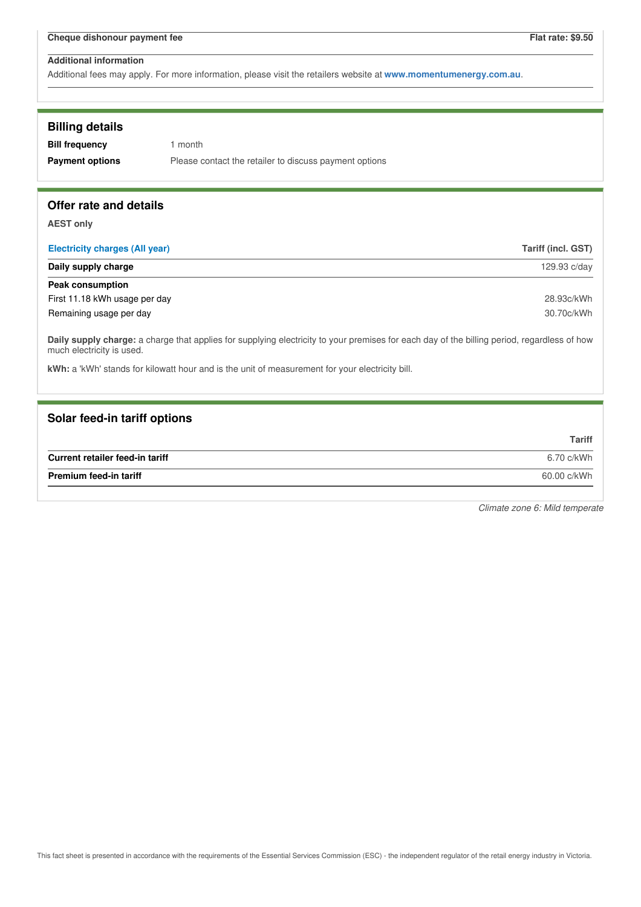Additional fees may apply. For more information, please visit the retailers website at **www.momentumenergy.com.au**.

| <b>Billing details</b> |  |
|------------------------|--|
|------------------------|--|

| <b>Bill frequency</b>  | 1 month                                                |
|------------------------|--------------------------------------------------------|
| <b>Payment options</b> | Please contact the retailer to discuss payment options |

# **Offer rate and details**

**AEST only**

| <b>Electricity charges (All year)</b> | Tariff (incl. GST) |
|---------------------------------------|--------------------|
| Daily supply charge                   | 129.93 c/day       |
| Peak consumption                      |                    |
| First 11.18 kWh usage per day         | 28.93c/kWh         |
| Remaining usage per day               | 30.70c/kWh         |

**Daily supply charge:** a charge that applies for supplying electricity to your premises for each day of the billing period, regardless of how much electricity is used.

**kWh:** a 'kWh' stands for kilowatt hour and is the unit of measurement for your electricity bill.

### **Solar feed-in tariff options**

|                                 | <b>Tariff</b> |
|---------------------------------|---------------|
| Current retailer feed-in tariff | 6.70 c/kWh    |
| <b>Premium feed-in tariff</b>   | 60.00 c/kWh   |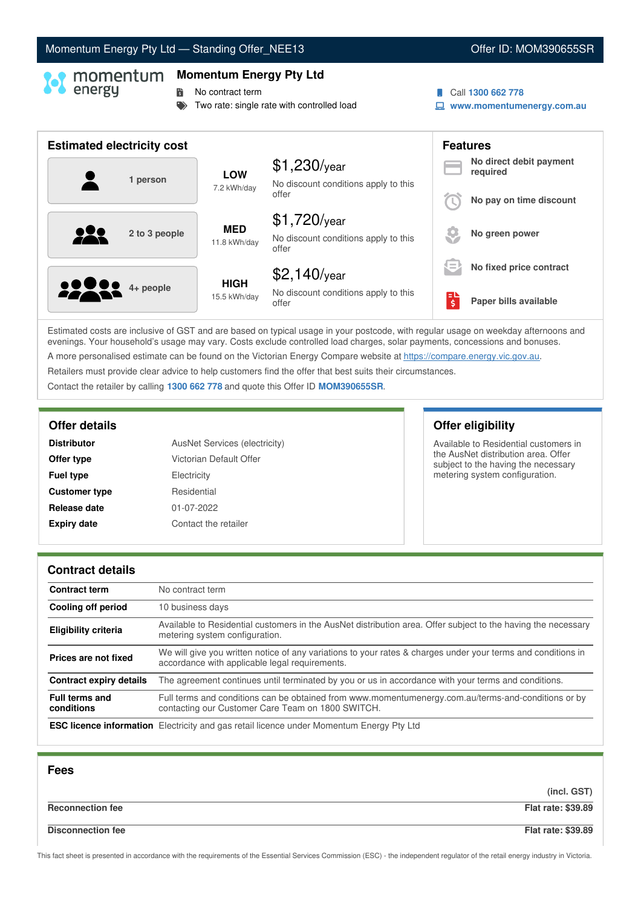# Momentum Energy Pty Ltd - Standing Offer\_NEE13 **Communication Communication** Cffer ID: MOM390655SR

## **Momentum Energy Pty Ltd**

**No contract term** 

- Two rate: single rate with controlled load
- Call **1300 662 778**
- **www.momentumenergy.com.au**

| <b>Estimated electricity cost</b> |                             |                                                                 |     | <b>Features</b>                     |
|-----------------------------------|-----------------------------|-----------------------------------------------------------------|-----|-------------------------------------|
| 1 person                          | <b>LOW</b><br>7.2 kWh/day   | $$1,230$ /year<br>No discount conditions apply to this          |     | No direct debit payment<br>required |
|                                   |                             | offer                                                           |     | No pay on time discount             |
| 222<br>2 to 3 people              | <b>MED</b><br>11.8 kWh/day  | $$1,720$ /year<br>No discount conditions apply to this<br>offer |     | No green power                      |
|                                   |                             | $$2,140$ /year                                                  | $=$ | No fixed price contract             |
| <b>22 8 4 + people</b>            | <b>HIGH</b><br>15.5 kWh/day | No discount conditions apply to this<br>offer                   | \$  | Paper bills available               |

Estimated costs are inclusive of GST and are based on typical usage in your postcode, with regular usage on weekday afternoons and evenings. Your household's usage may vary. Costs exclude controlled load charges, solar payments, concessions and bonuses. A more personalised estimate can be found on the Victorian Energy Compare website at <https://compare.energy.vic.gov.au>.

Retailers must provide clear advice to help customers find the offer that best suits their circumstances.

Contact the retailer by calling **1300 662 778** and quote this Offer ID **MOM390655SR**.

| AusNet Services (electricity) |
|-------------------------------|
| Victorian Default Offer       |
| Electricity                   |
| Residential                   |
| 01-07-2022                    |
| Contact the retailer          |
|                               |

**Offer details Offer eligibility**

Available to Residential customers in the AusNet distribution area. Offer subject to the having the necessary metering system configuration.

### **Contract details**

| <b>Contract term</b>                | No contract term                                                                                                                                               |
|-------------------------------------|----------------------------------------------------------------------------------------------------------------------------------------------------------------|
| Cooling off period                  | 10 business days                                                                                                                                               |
| <b>Eligibility criteria</b>         | Available to Residential customers in the AusNet distribution area. Offer subject to the having the necessary<br>metering system configuration.                |
| Prices are not fixed                | We will give you written notice of any variations to your rates & charges under your terms and conditions in<br>accordance with applicable legal requirements. |
| <b>Contract expiry details</b>      | The agreement continues until terminated by you or us in accordance with your terms and conditions.                                                            |
| <b>Full terms and</b><br>conditions | Full terms and conditions can be obtained from www.momentumenergy.com.au/terms-and-conditions or by<br>contacting our Customer Care Team on 1800 SWITCH.       |
|                                     | <b>ESC licence information</b> Electricity and gas retail licence under Momentum Energy Pty Ltd                                                                |

| <b>Fees</b>              |                           |
|--------------------------|---------------------------|
|                          | (incl. GST)               |
| <b>Reconnection fee</b>  | <b>Flat rate: \$39.89</b> |
| <b>Disconnection fee</b> | <b>Flat rate: \$39.89</b> |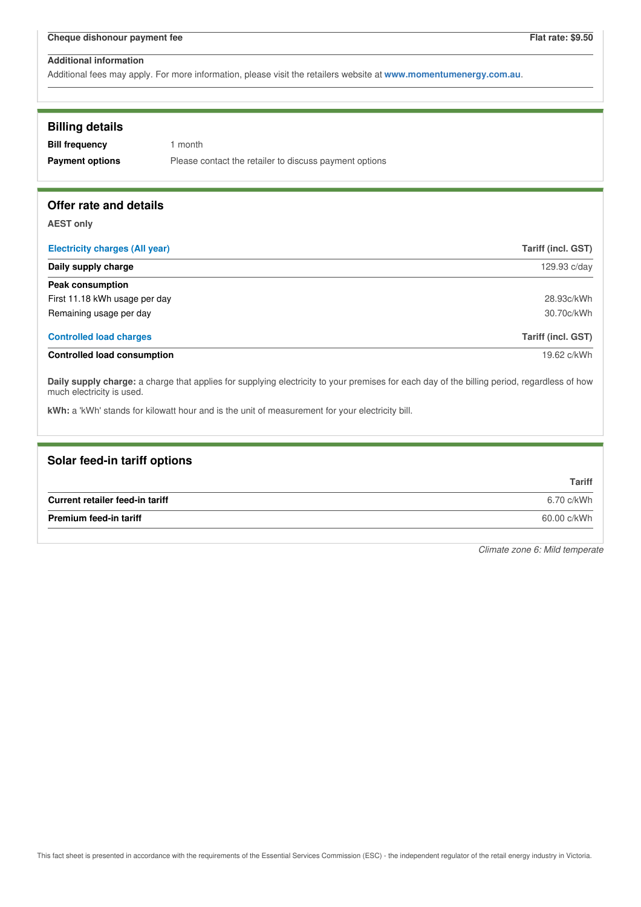Additional fees may apply. For more information, please visit the retailers website at **www.momentumenergy.com.au**.

| <b>Billing details</b><br><b>Bill frequency</b><br><b>Payment options</b> | 1 month<br>Please contact the retailer to discuss payment options                                                                           |                           |
|---------------------------------------------------------------------------|---------------------------------------------------------------------------------------------------------------------------------------------|---------------------------|
| Offer rate and details                                                    |                                                                                                                                             |                           |
| <b>AEST only</b>                                                          |                                                                                                                                             |                           |
| <b>Electricity charges (All year)</b>                                     |                                                                                                                                             | Tariff (incl. GST)        |
| Daily supply charge                                                       |                                                                                                                                             | 129.93 c/day              |
| <b>Peak consumption</b>                                                   |                                                                                                                                             |                           |
| First 11.18 kWh usage per day                                             |                                                                                                                                             | 28.93c/kWh                |
| Remaining usage per day                                                   |                                                                                                                                             | 30.70c/kWh                |
| <b>Controlled load charges</b>                                            |                                                                                                                                             | <b>Tariff (incl. GST)</b> |
| <b>Controlled load consumption</b>                                        |                                                                                                                                             | 19.62 c/kWh               |
| much electricity is used.                                                 | Daily supply charge: a charge that applies for supplying electricity to your premises for each day of the billing period, regardless of how |                           |
|                                                                           | kWh: a 'kWh' stands for kilowatt hour and is the unit of measurement for your electricity bill.                                             |                           |

# **Solar feed-in tariff options Tariff Current retailer feed-in tariff** 6.70 c/kWh **Premium feed-in tariff** 60.00 c/kWh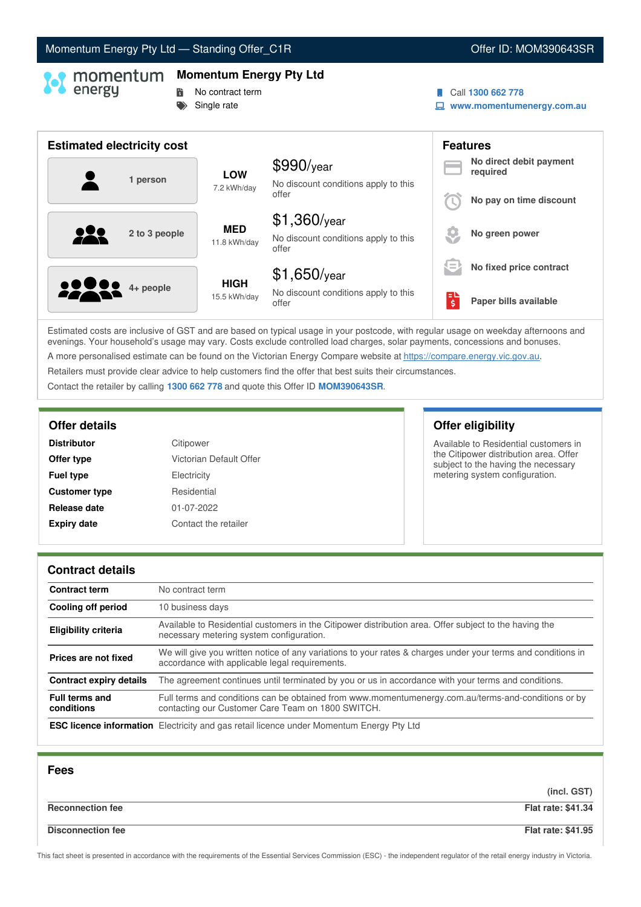# Momentum Energy Pty Ltd - Standing Offer\_C1R Communication of the U. MOM390643SR

# **Momentum Energy Pty Ltd**

- **No contract term** 
	- Single rate

### Call **1300 662 778**

**www.momentumenergy.com.au**

| <b>Estimated electricity cost</b> |                             |                                                      |     | <b>Features</b>                     |
|-----------------------------------|-----------------------------|------------------------------------------------------|-----|-------------------------------------|
| 1 person                          | <b>LOW</b>                  | $$990$ /year<br>No discount conditions apply to this |     | No direct debit payment<br>required |
|                                   | 7.2 kWh/day                 | offer                                                |     | No pay on time discount             |
|                                   | <b>MED</b>                  | $$1,360$ /year                                       |     |                                     |
| 2 to 3 people                     | 11.8 kWh/day                | No discount conditions apply to this<br>offer        |     | No green power                      |
|                                   |                             | $$1,650$ /year                                       | $=$ | No fixed price contract             |
| <b>22 8 4+ people</b>             | <b>HIGH</b><br>15.5 kWh/day | No discount conditions apply to this<br>offer        | Ś   | Paper bills available               |

Estimated costs are inclusive of GST and are based on typical usage in your postcode, with regular usage on weekday afternoons and evenings. Your household's usage may vary. Costs exclude controlled load charges, solar payments, concessions and bonuses. A more personalised estimate can be found on the Victorian Energy Compare website at <https://compare.energy.vic.gov.au>.

Retailers must provide clear advice to help customers find the offer that best suits their circumstances.

Contact the retailer by calling **1300 662 778** and quote this Offer ID **MOM390643SR**.

| <b>Distributor</b>   | Citipower               |
|----------------------|-------------------------|
| Offer type           | Victorian Default Offer |
| <b>Fuel type</b>     | Electricity             |
| <b>Customer type</b> | Residential             |
| Release date         | 01-07-2022              |
| <b>Expiry date</b>   | Contact the retailer    |

**Offer details Offer eligibility**

Available to Residential customers in the Citipower distribution area. Offer subject to the having the necessary metering system configuration.

### **Contract details**

| <b>Contract term</b>                | No contract term                                                                                                                                               |
|-------------------------------------|----------------------------------------------------------------------------------------------------------------------------------------------------------------|
| Cooling off period                  | 10 business days                                                                                                                                               |
| <b>Eligibility criteria</b>         | Available to Residential customers in the Citipower distribution area. Offer subject to the having the<br>necessary metering system configuration.             |
| Prices are not fixed                | We will give you written notice of any variations to your rates & charges under your terms and conditions in<br>accordance with applicable legal requirements. |
| <b>Contract expiry details</b>      | The agreement continues until terminated by you or us in accordance with your terms and conditions.                                                            |
| <b>Full terms and</b><br>conditions | Full terms and conditions can be obtained from www.momentumenergy.com.au/terms-and-conditions or by<br>contacting our Customer Care Team on 1800 SWITCH.       |
|                                     | <b>ESC licence information</b> Electricity and gas retail licence under Momentum Energy Pty Ltd                                                                |

| <b>Fees</b>              |                           |
|--------------------------|---------------------------|
|                          | (incl. GST)               |
| <b>Reconnection fee</b>  | <b>Flat rate: \$41.34</b> |
| <b>Disconnection fee</b> | <b>Flat rate: \$41.95</b> |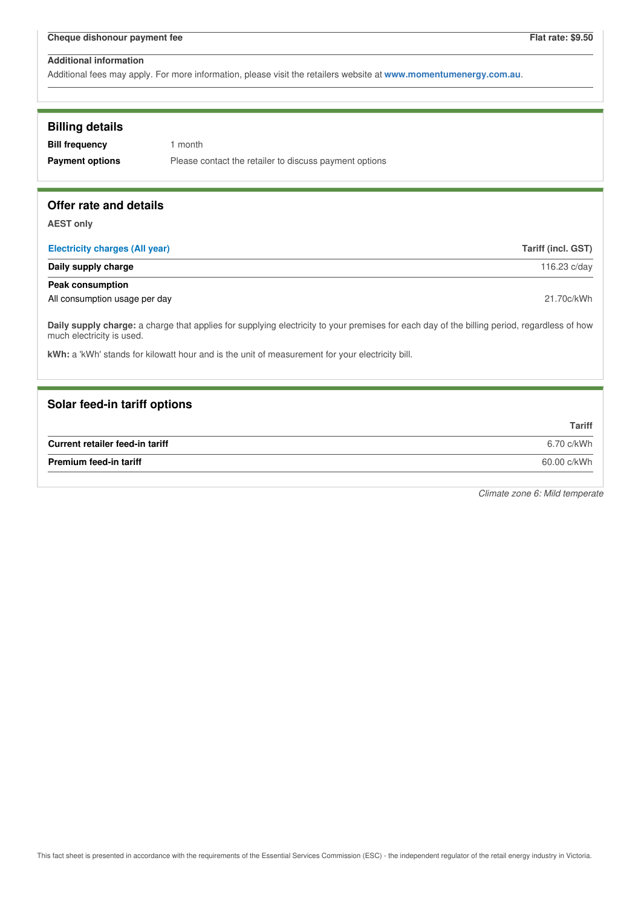Additional fees may apply. For more information, please visit the retailers website at **www.momentumenergy.com.au**.

| <b>Billing details</b><br><b>Bill frequency</b><br><b>Payment options</b> | 1 month<br>Please contact the retailer to discuss payment options                                                                           |                    |
|---------------------------------------------------------------------------|---------------------------------------------------------------------------------------------------------------------------------------------|--------------------|
| Offer rate and details                                                    |                                                                                                                                             |                    |
| <b>AEST only</b>                                                          |                                                                                                                                             |                    |
| <b>Electricity charges (All year)</b>                                     |                                                                                                                                             | Tariff (incl. GST) |
| Daily supply charge                                                       |                                                                                                                                             | 116.23 c/day       |
| <b>Peak consumption</b>                                                   |                                                                                                                                             |                    |
| All consumption usage per day                                             |                                                                                                                                             | 21.70c/kWh         |
| much electricity is used.                                                 | Daily supply charge: a charge that applies for supplying electricity to your premises for each day of the billing period, regardless of how |                    |
|                                                                           | kWh: a 'kWh' stands for kilowatt hour and is the unit of measurement for your electricity bill.                                             |                    |
| Solar feed-in tariff options                                              |                                                                                                                                             |                    |
|                                                                           |                                                                                                                                             | <b>Tariff</b>      |
| Current retailer feed-in tariff                                           |                                                                                                                                             | 6.70 c/kWh         |
| <b>Premium feed-in tariff</b>                                             |                                                                                                                                             | 60.00 c/kWh        |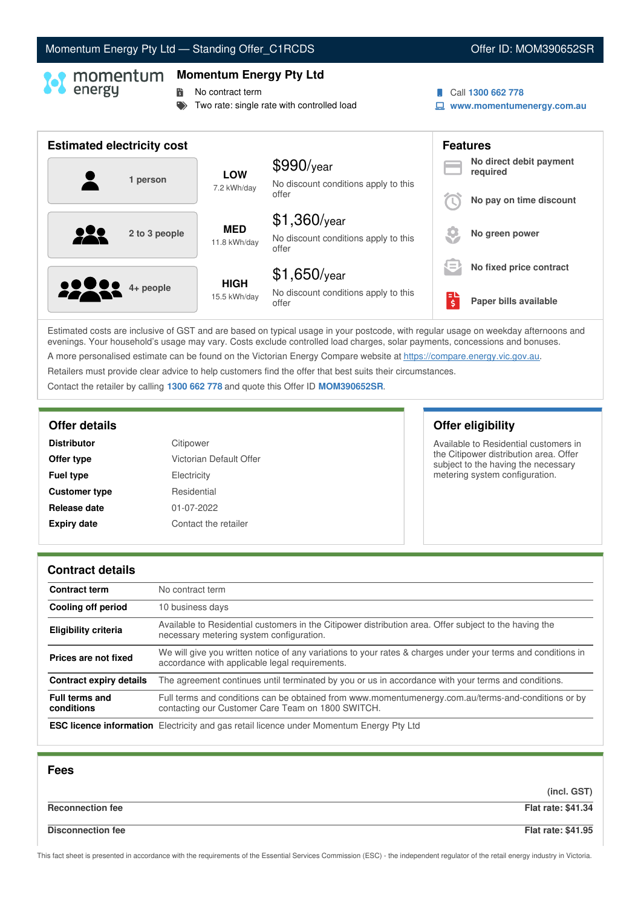# Momentum Energy Pty Ltd - Standing Offer\_C1RCDS **Communication Control Control Control** Control Communication Offer ID: MOM390652SR

### **Momentum Energy Pty Ltd**

**No contract term** 

- Two rate: single rate with controlled load
- Call **1300 662 778**
- **www.momentumenergy.com.au**

| <b>Estimated electricity cost</b> |               |                             |                                                                 |        | <b>Features</b>                     |
|-----------------------------------|---------------|-----------------------------|-----------------------------------------------------------------|--------|-------------------------------------|
|                                   | 1 person      | <b>LOW</b><br>7.2 kWh/day   | $$990$ /year<br>No discount conditions apply to this            |        | No direct debit payment<br>required |
|                                   |               |                             | offer                                                           |        | No pay on time discount             |
| 222                               | 2 to 3 people | <b>MED</b><br>11.8 kWh/day  | $$1,360$ /year<br>No discount conditions apply to this<br>offer |        | No green power                      |
|                                   |               |                             | $$1,650$ /year                                                  | $=$    | No fixed price contract             |
| <b>10000</b> 4+ people            |               | <b>HIGH</b><br>15.5 kWh/day | No discount conditions apply to this<br>offer                   | ы<br>Ś | Paper bills available               |

Estimated costs are inclusive of GST and are based on typical usage in your postcode, with regular usage on weekday afternoons and evenings. Your household's usage may vary. Costs exclude controlled load charges, solar payments, concessions and bonuses. A more personalised estimate can be found on the Victorian Energy Compare website at <https://compare.energy.vic.gov.au>.

Retailers must provide clear advice to help customers find the offer that best suits their circumstances.

Contact the retailer by calling **1300 662 778** and quote this Offer ID **MOM390652SR**.

| <b>Distributor</b>   | Citipower               |
|----------------------|-------------------------|
| Offer type           | Victorian Default Offer |
| <b>Fuel type</b>     | Electricity             |
| <b>Customer type</b> | Residential             |
| Release date         | 01-07-2022              |
| <b>Expiry date</b>   | Contact the retailer    |

# **Offer details Offer eligibility**

Available to Residential customers in the Citipower distribution area. Offer subject to the having the necessary metering system configuration.

### **Contract details**

| <b>Contract term</b>                | No contract term                                                                                                                                               |
|-------------------------------------|----------------------------------------------------------------------------------------------------------------------------------------------------------------|
| Cooling off period                  | 10 business days                                                                                                                                               |
| <b>Eligibility criteria</b>         | Available to Residential customers in the Citipower distribution area. Offer subject to the having the<br>necessary metering system configuration.             |
| Prices are not fixed                | We will give you written notice of any variations to your rates & charges under your terms and conditions in<br>accordance with applicable legal requirements. |
| <b>Contract expiry details</b>      | The agreement continues until terminated by you or us in accordance with your terms and conditions.                                                            |
| <b>Full terms and</b><br>conditions | Full terms and conditions can be obtained from www.momentumenergy.com.au/terms-and-conditions or by<br>contacting our Customer Care Team on 1800 SWITCH.       |
|                                     | <b>ESC licence information</b> Electricity and gas retail licence under Momentum Energy Pty Ltd                                                                |

| <b>Fees</b>              |                           |
|--------------------------|---------------------------|
|                          | (incl. GST)               |
| <b>Reconnection fee</b>  | <b>Flat rate: \$41.34</b> |
| <b>Disconnection fee</b> | <b>Flat rate: \$41.95</b> |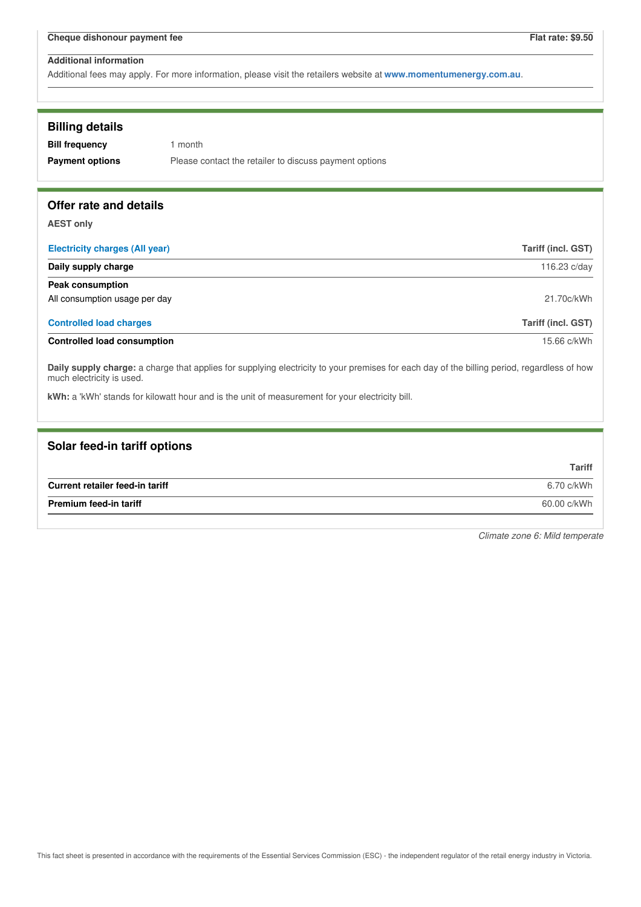Additional fees may apply. For more information, please visit the retailers website at **www.momentumenergy.com.au**.

| <b>Billing details</b>                |                                                                                                                                             |                           |
|---------------------------------------|---------------------------------------------------------------------------------------------------------------------------------------------|---------------------------|
| <b>Bill frequency</b>                 | 1 month                                                                                                                                     |                           |
| <b>Payment options</b>                | Please contact the retailer to discuss payment options                                                                                      |                           |
| Offer rate and details                |                                                                                                                                             |                           |
| <b>AEST only</b>                      |                                                                                                                                             |                           |
| <b>Electricity charges (All year)</b> |                                                                                                                                             | <b>Tariff (incl. GST)</b> |
| Daily supply charge                   |                                                                                                                                             | 116.23 c/day              |
| Peak consumption                      |                                                                                                                                             |                           |
| All consumption usage per day         |                                                                                                                                             | 21.70c/kWh                |
| <b>Controlled load charges</b>        |                                                                                                                                             | <b>Tariff (incl. GST)</b> |
| <b>Controlled load consumption</b>    |                                                                                                                                             | 15.66 c/kWh               |
| much electricity is used.             | Daily supply charge: a charge that applies for supplying electricity to your premises for each day of the billing period, regardless of how |                           |
|                                       | kWh: a 'kWh' stands for kilowatt hour and is the unit of measurement for your electricity bill.                                             |                           |

| Solar feed-in tariff options    |               |
|---------------------------------|---------------|
|                                 | <b>Tariff</b> |
| Current retailer feed-in tariff | 6.70 c/kWh    |
| Premium feed-in tariff          | 60.00 c/kWh   |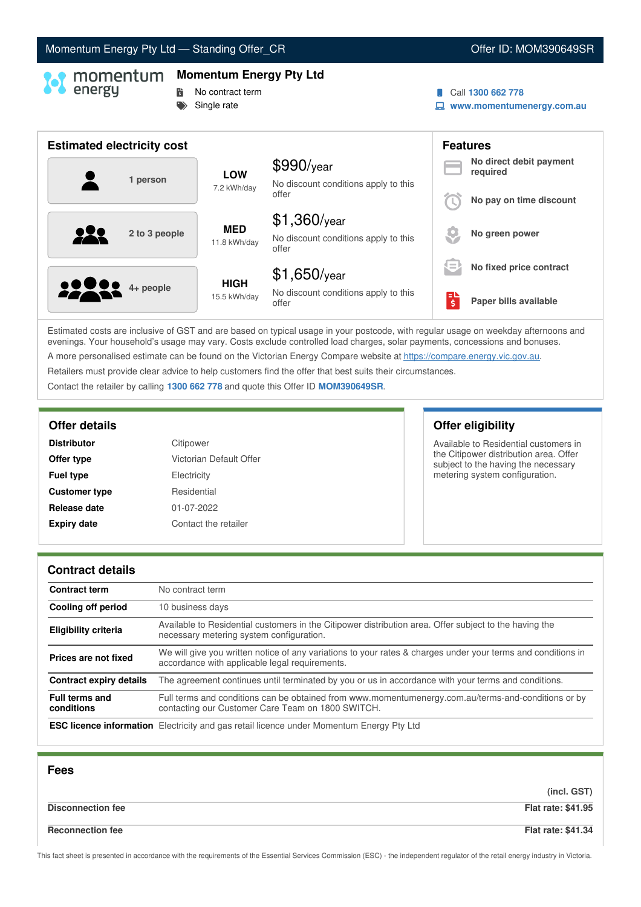# Momentum Energy Pty Ltd - Standing Offer\_CR **COM CONSERVING CONSERVANCE ID: MOM390649SR**

# **Momentum Energy Pty Ltd**

# **No contract term**

Single rate

### Call **1300 662 778**

**www.momentumenergy.com.au**

| <b>Estimated electricity cost</b> |               |              |                                                      | <b>Features</b>                                              |                                     |
|-----------------------------------|---------------|--------------|------------------------------------------------------|--------------------------------------------------------------|-------------------------------------|
|                                   | 1 person      | <b>LOW</b>   | $$990$ /year<br>No discount conditions apply to this |                                                              | No direct debit payment<br>required |
|                                   |               | 7.2 kWh/day  | offer                                                |                                                              | No pay on time discount             |
|                                   |               | <b>MED</b>   | $$1,360$ /year                                       |                                                              |                                     |
|                                   | 2 to 3 people | 11.8 kWh/day | No discount conditions apply to this<br>offer        |                                                              | No green power                      |
|                                   |               | <b>HIGH</b>  | $$1,650$ /year                                       | $\qquad \qquad \blacksquare$<br>$\qquad \qquad \blacksquare$ | No fixed price contract             |
| <b>22 8 4 + people</b>            |               | 15.5 kWh/day | No discount conditions apply to this<br>offer        | ЕΙ<br>'s                                                     | Paper bills available               |

Estimated costs are inclusive of GST and are based on typical usage in your postcode, with regular usage on weekday afternoons and evenings. Your household's usage may vary. Costs exclude controlled load charges, solar payments, concessions and bonuses. A more personalised estimate can be found on the Victorian Energy Compare website at <https://compare.energy.vic.gov.au>.

Retailers must provide clear advice to help customers find the offer that best suits their circumstances.

Contact the retailer by calling **1300 662 778** and quote this Offer ID **MOM390649SR**.

| <b>Distributor</b>   | Citipower               |
|----------------------|-------------------------|
| Offer type           | Victorian Default Offer |
| <b>Fuel type</b>     | Electricity             |
| <b>Customer type</b> | Residential             |
| Release date         | 01-07-2022              |
| <b>Expiry date</b>   | Contact the retailer    |

# **Offer details Offer eligibility**

Available to Residential customers in the Citipower distribution area. Offer subject to the having the necessary metering system configuration.

### **Contract details**

| <b>Contract term</b>                | No contract term                                                                                                                                               |
|-------------------------------------|----------------------------------------------------------------------------------------------------------------------------------------------------------------|
| Cooling off period                  | 10 business days                                                                                                                                               |
| <b>Eligibility criteria</b>         | Available to Residential customers in the Citipower distribution area. Offer subject to the having the<br>necessary metering system configuration.             |
| Prices are not fixed                | We will give you written notice of any variations to your rates & charges under your terms and conditions in<br>accordance with applicable legal requirements. |
| <b>Contract expiry details</b>      | The agreement continues until terminated by you or us in accordance with your terms and conditions.                                                            |
| <b>Full terms and</b><br>conditions | Full terms and conditions can be obtained from www.momentumenergy.com.au/terms-and-conditions or by<br>contacting our Customer Care Team on 1800 SWITCH.       |
|                                     | <b>ESC licence information</b> Electricity and gas retail licence under Momentum Energy Pty Ltd                                                                |

| <b>Fees</b>              |                           |
|--------------------------|---------------------------|
|                          | (incl. GST)               |
| <b>Disconnection fee</b> | <b>Flat rate: \$41.95</b> |
| <b>Reconnection fee</b>  | <b>Flat rate: \$41.34</b> |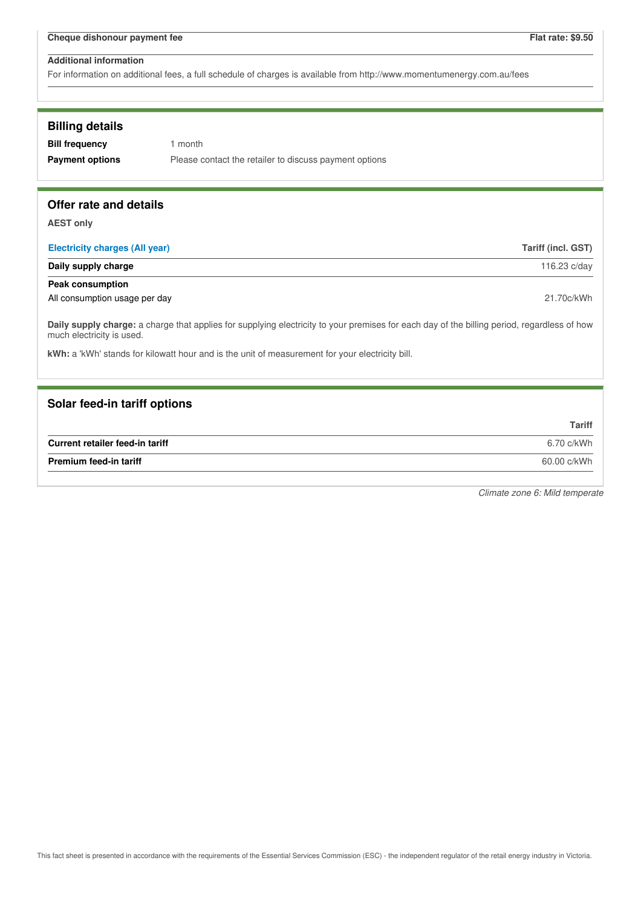For information on additional fees, a full schedule of charges is available from http://www.momentumenergy.com.au/fees

### **Billing details**

**Bill frequency** 1 month **Payment options** Please contact the retailer to discuss payment options

### **Offer rate and details**

**AEST only**

| <b>Electricity charges (All year)</b> | Tariff (incl. GST) |
|---------------------------------------|--------------------|
| Daily supply charge                   | 116.23 c/day       |
| <b>Peak consumption</b>               |                    |
| All consumption usage per day         | 21.70c/kWh         |

**Daily supply charge:** a charge that applies for supplying electricity to your premises for each day of the billing period, regardless of how much electricity is used.

**kWh:** a 'kWh' stands for kilowatt hour and is the unit of measurement for your electricity bill.

### **Solar feed-in tariff options**

|                                 | Tariff      |
|---------------------------------|-------------|
| Current retailer feed-in tariff | 6.70 c/kWh  |
| <b>Premium feed-in tariff</b>   | 60.00 c/kWh |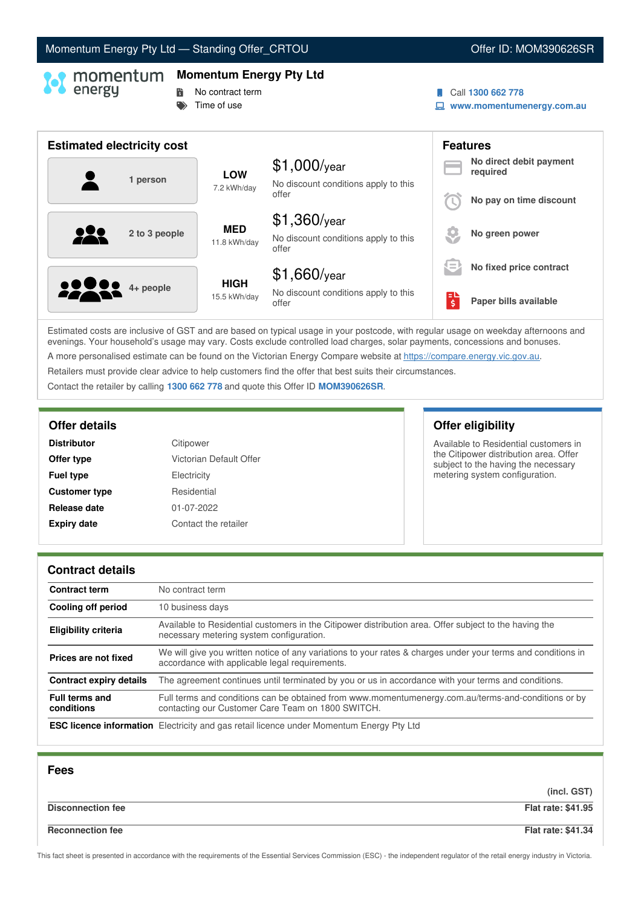# Momentum Energy Pty Ltd - Standing Offer\_CRTOU Now and Content Content ID: MOM390626SR

### **Momentum Energy Pty Ltd**

- **No contract term**
- $\Rightarrow$  Time of use
- Call **1300 662 778**
- **www.momentumenergy.com.au**

| <b>Estimated electricity cost</b> |                             |                                                                 |          | <b>Features</b>                     |
|-----------------------------------|-----------------------------|-----------------------------------------------------------------|----------|-------------------------------------|
| 1 person                          | <b>LOW</b><br>7.2 kWh/day   | $$1,000$ /year<br>No discount conditions apply to this          |          | No direct debit payment<br>required |
|                                   |                             | offer                                                           |          | No pay on time discount             |
| 2 to 3 people                     | <b>MED</b><br>11.8 kWh/day  | $$1,360$ /year<br>No discount conditions apply to this<br>offer |          | No green power                      |
|                                   |                             | $$1,660$ /year                                                  | $\equiv$ | No fixed price contract             |
| <b>2200</b> 4+ people             | <b>HIGH</b><br>15.5 kWh/day | No discount conditions apply to this<br>offer                   | \$       | Paper bills available               |

Estimated costs are inclusive of GST and are based on typical usage in your postcode, with regular usage on weekday afternoons and evenings. Your household's usage may vary. Costs exclude controlled load charges, solar payments, concessions and bonuses. A more personalised estimate can be found on the Victorian Energy Compare website at <https://compare.energy.vic.gov.au>.

Retailers must provide clear advice to help customers find the offer that best suits their circumstances.

Contact the retailer by calling **1300 662 778** and quote this Offer ID **MOM390626SR**.

| Citipower               |
|-------------------------|
| Victorian Default Offer |
| Electricity             |
| Residential             |
| 01-07-2022              |
| Contact the retailer    |
|                         |

# **Offer details Offer eligibility**

Available to Residential customers in the Citipower distribution area. Offer subject to the having the necessary metering system configuration.

### **Contract details**

| <b>Contract term</b>                | No contract term                                                                                                                                               |
|-------------------------------------|----------------------------------------------------------------------------------------------------------------------------------------------------------------|
| Cooling off period                  | 10 business days                                                                                                                                               |
| <b>Eligibility criteria</b>         | Available to Residential customers in the Citipower distribution area. Offer subject to the having the<br>necessary metering system configuration.             |
| Prices are not fixed                | We will give you written notice of any variations to your rates & charges under your terms and conditions in<br>accordance with applicable legal requirements. |
| <b>Contract expiry details</b>      | The agreement continues until terminated by you or us in accordance with your terms and conditions.                                                            |
| <b>Full terms and</b><br>conditions | Full terms and conditions can be obtained from www.momentumenergy.com.au/terms-and-conditions or by<br>contacting our Customer Care Team on 1800 SWITCH.       |
|                                     | <b>ESC licence information</b> Electricity and gas retail licence under Momentum Energy Pty Ltd                                                                |

| <b>Fees</b>              |                           |
|--------------------------|---------------------------|
|                          | (incl. GST)               |
| <b>Disconnection fee</b> | <b>Flat rate: \$41.95</b> |
| <b>Reconnection fee</b>  | <b>Flat rate: \$41.34</b> |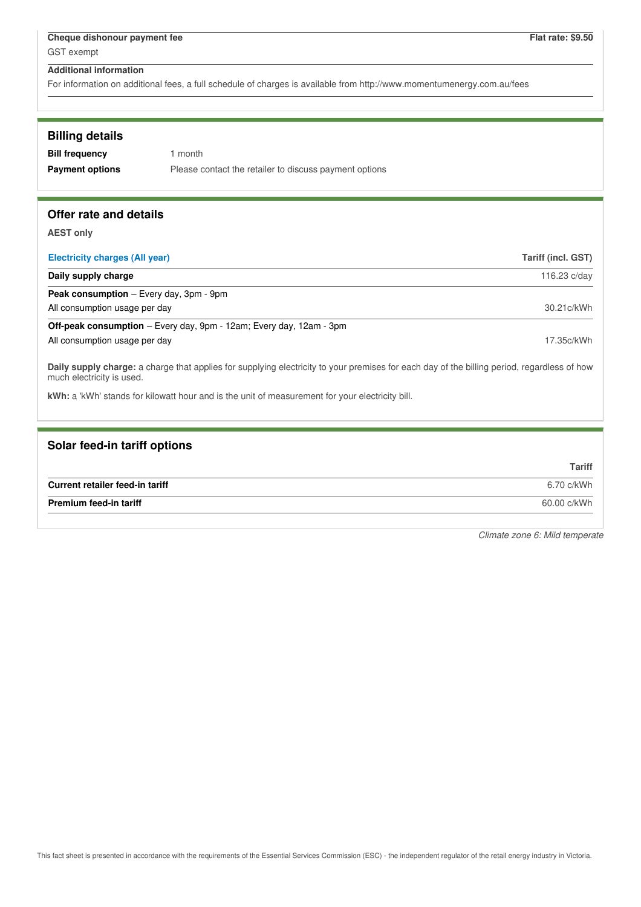For information on additional fees, a full schedule of charges is available from http://www.momentumenergy.com.au/fees

| <b>Billing details</b> |                                                        |
|------------------------|--------------------------------------------------------|
| <b>Bill frequency</b>  | 1 month                                                |
| <b>Payment options</b> | Please contact the retailer to discuss payment options |
|                        |                                                        |

# **Offer rate and details**

**AEST only**

| <b>Electricity charges (All year)</b>                                      | Tariff (incl. GST) |
|----------------------------------------------------------------------------|--------------------|
| Daily supply charge                                                        | 116.23 c/day       |
| <b>Peak consumption</b> $-$ Every day, $3pm - 9pm$                         |                    |
| All consumption usage per day                                              | 30.21c/kWh         |
| <b>Off-peak consumption</b> – Every day, 9pm - 12am; Every day, 12am - 3pm |                    |
| All consumption usage per day                                              | 17.35c/kWh         |
|                                                                            |                    |

**Daily supply charge:** a charge that applies for supplying electricity to your premises for each day of the billing period, regardless of how much electricity is used.

**kWh:** a 'kWh' stands for kilowatt hour and is the unit of measurement for your electricity bill.

# **Solar feed-in tariff options**

|                                 | <b>Tariff</b> |
|---------------------------------|---------------|
| Current retailer feed-in tariff | 6.70 c/kWh    |
| <b>Premium feed-in tariff</b>   | 60.00 c/kWh   |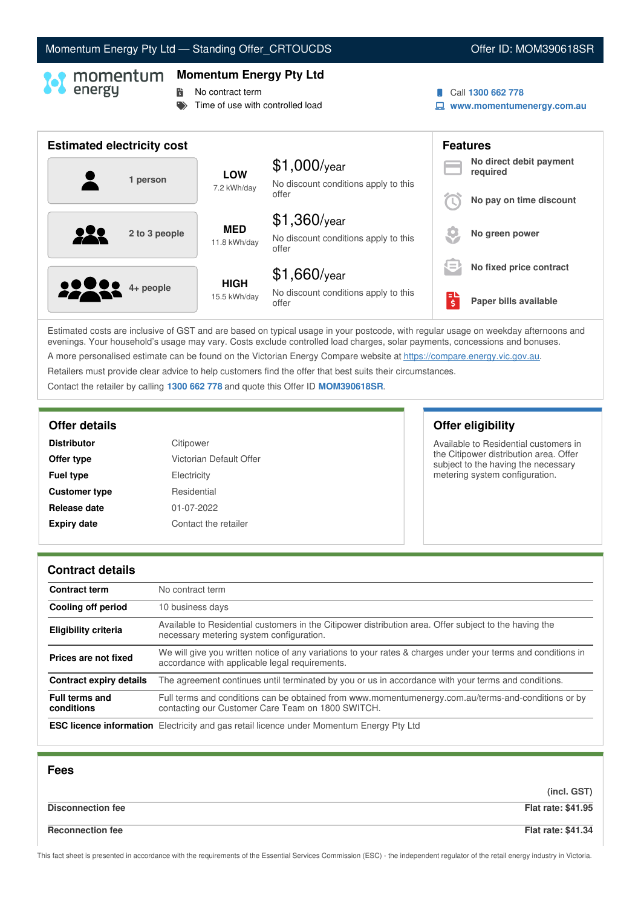# Momentum Energy Pty Ltd - Standing Offer\_CRTOUCDS **Canadian Control Control Control Control Control Control Control Control Control Control Control Control Control Control Control Control Control Control Control Control Co**

### **Momentum Energy Pty Ltd**

**No contract term** 

 $\blacktriangleright$  Time of use with controlled load

- Call **1300 662 778**
- **www.momentumenergy.com.au**

| <b>Estimated electricity cost</b> |                             |                                                                 |         | <b>Features</b>                     |
|-----------------------------------|-----------------------------|-----------------------------------------------------------------|---------|-------------------------------------|
| 1 person                          | <b>LOW</b><br>7.2 kWh/day   | $$1,000$ /year<br>No discount conditions apply to this          |         | No direct debit payment<br>required |
|                                   |                             | offer                                                           |         | No pay on time discount             |
| 2 to 3 people                     | <b>MED</b><br>11.8 kWh/day  | $$1,360$ /year<br>No discount conditions apply to this<br>offer |         | No green power                      |
|                                   |                             | $$1,660$ /year                                                  | l =     | No fixed price contract             |
| <b>22 8 4+ people</b>             | <b>HIGH</b><br>15.5 kWh/day | No discount conditions apply to this<br>offer                   | ЕU<br>ś | Paper bills available               |

Estimated costs are inclusive of GST and are based on typical usage in your postcode, with regular usage on weekday afternoons and evenings. Your household's usage may vary. Costs exclude controlled load charges, solar payments, concessions and bonuses. A more personalised estimate can be found on the Victorian Energy Compare website at <https://compare.energy.vic.gov.au>.

Retailers must provide clear advice to help customers find the offer that best suits their circumstances.

Contact the retailer by calling **1300 662 778** and quote this Offer ID **MOM390618SR**.

| <b>Distributor</b>   | Citipower               |
|----------------------|-------------------------|
| Offer type           | Victorian Default Offer |
| <b>Fuel type</b>     | Electricity             |
| <b>Customer type</b> | Residential             |
| Release date         | 01-07-2022              |
| <b>Expiry date</b>   | Contact the retailer    |

# **Offer details Offer eligibility**

Available to Residential customers in the Citipower distribution area. Offer subject to the having the necessary metering system configuration.

### **Contract details**

| <b>Contract term</b>                | No contract term                                                                                                                                               |
|-------------------------------------|----------------------------------------------------------------------------------------------------------------------------------------------------------------|
| Cooling off period                  | 10 business days                                                                                                                                               |
| <b>Eligibility criteria</b>         | Available to Residential customers in the Citipower distribution area. Offer subject to the having the<br>necessary metering system configuration.             |
| Prices are not fixed                | We will give you written notice of any variations to your rates & charges under your terms and conditions in<br>accordance with applicable legal requirements. |
| <b>Contract expiry details</b>      | The agreement continues until terminated by you or us in accordance with your terms and conditions.                                                            |
| <b>Full terms and</b><br>conditions | Full terms and conditions can be obtained from www.momentumenergy.com.au/terms-and-conditions or by<br>contacting our Customer Care Team on 1800 SWITCH.       |
|                                     | <b>ESC licence information</b> Electricity and gas retail licence under Momentum Energy Pty Ltd                                                                |

| <b>Fees</b>              |                           |
|--------------------------|---------------------------|
|                          | (incl. GST)               |
| <b>Disconnection fee</b> | <b>Flat rate: \$41.95</b> |
| <b>Reconnection fee</b>  | <b>Flat rate: \$41.34</b> |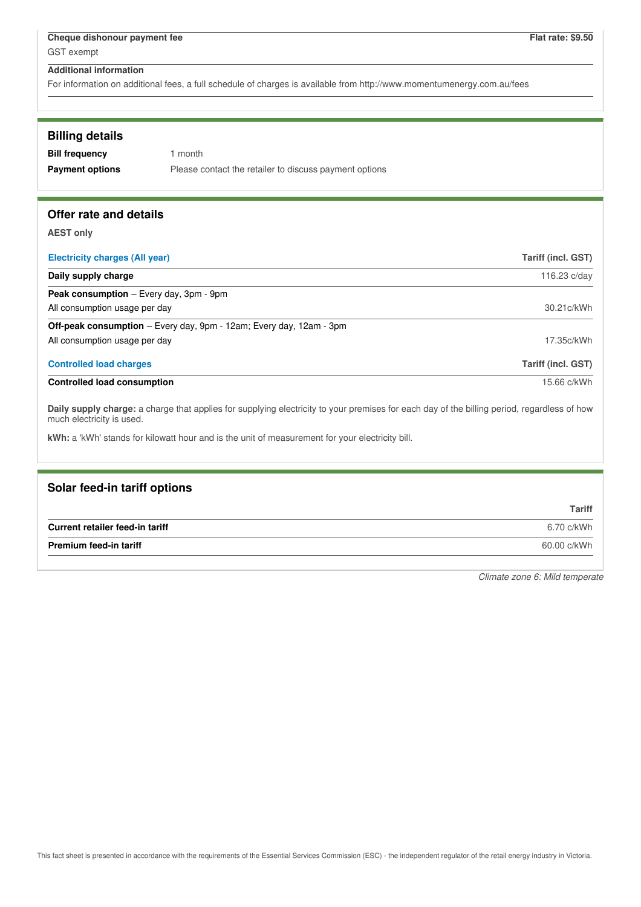For information on additional fees, a full schedule of charges is available from http://www.momentumenergy.com.au/fees

| <b>Billing details</b> |  |
|------------------------|--|
|------------------------|--|

| <b>Bill frequency</b>  | 1 month                                                |
|------------------------|--------------------------------------------------------|
| <b>Payment options</b> | Please contact the retailer to discuss payment options |

# **Offer rate and details**

**AEST only**

| <b>Electricity charges (All year)</b>                                                                                                                                    | Tariff (incl. GST) |
|--------------------------------------------------------------------------------------------------------------------------------------------------------------------------|--------------------|
| Daily supply charge                                                                                                                                                      | 116.23 c/day       |
| <b>Peak consumption</b> – Every day, 3pm - 9pm                                                                                                                           |                    |
| All consumption usage per day                                                                                                                                            | 30.21c/kWh         |
| <b>Off-peak consumption</b> – Every day, 9pm - 12am; Every day, 12am - 3pm                                                                                               |                    |
| All consumption usage per day                                                                                                                                            | 17.35c/kWh         |
| <b>Controlled load charges</b>                                                                                                                                           | Tariff (incl. GST) |
| <b>Controlled load consumption</b>                                                                                                                                       | 15.66 c/kWh        |
| Daily supply charge: a charge that applies for supplying electricity to your premises for each day of the billing period, regardless of how<br>much electricity is used. |                    |
| kWh: a 'kWh' stands for kilowatt hour and is the unit of measurement for your electricity bill.                                                                          |                    |

# **Solar feed-in tariff options Tariff Current retailer feed-in tariff** 6.70 c/kWh **Premium feed-in tariff** 60.00 c/kWh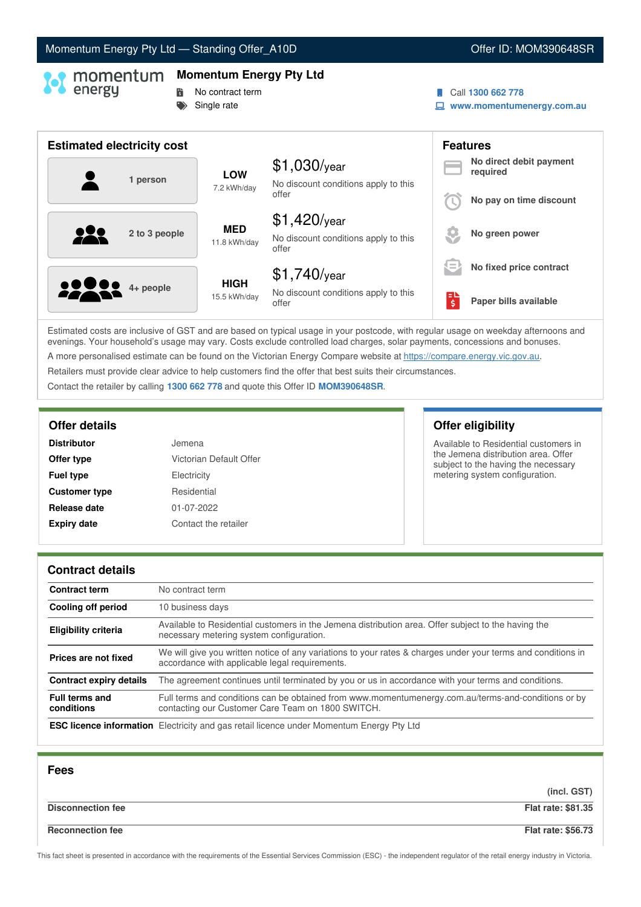# Momentum Energy Pty Ltd - Standing Offer\_A10D **Community Community Community Community** Offer ID: MOM390648SR

# **Momentum Energy Pty Ltd**

- **No contract term**
- Single rate
- Call **1300 662 778**
- **www.momentumenergy.com.au**

| <b>Estimated electricity cost</b> |                             |                                                                 |         | <b>Features</b>                     |
|-----------------------------------|-----------------------------|-----------------------------------------------------------------|---------|-------------------------------------|
| 1 person                          | <b>LOW</b><br>7.2 kWh/day   | $$1,030$ /year<br>No discount conditions apply to this          |         | No direct debit payment<br>required |
|                                   |                             | offer                                                           |         | No pay on time discount             |
| 2 to 3 people                     | <b>MED</b><br>11.8 kWh/day  | $$1,420$ /year<br>No discount conditions apply to this<br>offer |         | No green power                      |
|                                   |                             | $$1,740$ /year                                                  | $=$     | No fixed price contract             |
| <b>22 8 4+ people</b>             | <b>HIGH</b><br>15.5 kWh/day | No discount conditions apply to this<br>offer                   | Еυ<br>ś | Paper bills available               |

Estimated costs are inclusive of GST and are based on typical usage in your postcode, with regular usage on weekday afternoons and evenings. Your household's usage may vary. Costs exclude controlled load charges, solar payments, concessions and bonuses. A more personalised estimate can be found on the Victorian Energy Compare website at <https://compare.energy.vic.gov.au>.

Retailers must provide clear advice to help customers find the offer that best suits their circumstances.

Contact the retailer by calling **1300 662 778** and quote this Offer ID **MOM390648SR**.

| Jemena                  |
|-------------------------|
| Victorian Default Offer |
| Electricity             |
| Residential             |
| 01-07-2022              |
| Contact the retailer    |
|                         |

# **Offer details Offer eligibility**

Available to Residential customers in the Jemena distribution area. Offer subject to the having the necessary metering system configuration.

### **Contract details**

| <b>Contract term</b>                | No contract term                                                                                                                                               |
|-------------------------------------|----------------------------------------------------------------------------------------------------------------------------------------------------------------|
| Cooling off period                  | 10 business days                                                                                                                                               |
| <b>Eligibility criteria</b>         | Available to Residential customers in the Jemena distribution area. Offer subject to the having the<br>necessary metering system configuration.                |
| Prices are not fixed                | We will give you written notice of any variations to your rates & charges under your terms and conditions in<br>accordance with applicable legal requirements. |
| <b>Contract expiry details</b>      | The agreement continues until terminated by you or us in accordance with your terms and conditions.                                                            |
| <b>Full terms and</b><br>conditions | Full terms and conditions can be obtained from www.momentumenergy.com.au/terms-and-conditions or by<br>contacting our Customer Care Team on 1800 SWITCH.       |
|                                     | <b>ESC licence information</b> Electricity and gas retail licence under Momentum Energy Pty Ltd                                                                |

| <b>Fees</b>              |                           |
|--------------------------|---------------------------|
|                          | (incl. GST)               |
| <b>Disconnection fee</b> | <b>Flat rate: \$81.35</b> |
| <b>Reconnection fee</b>  | <b>Flat rate: \$56.73</b> |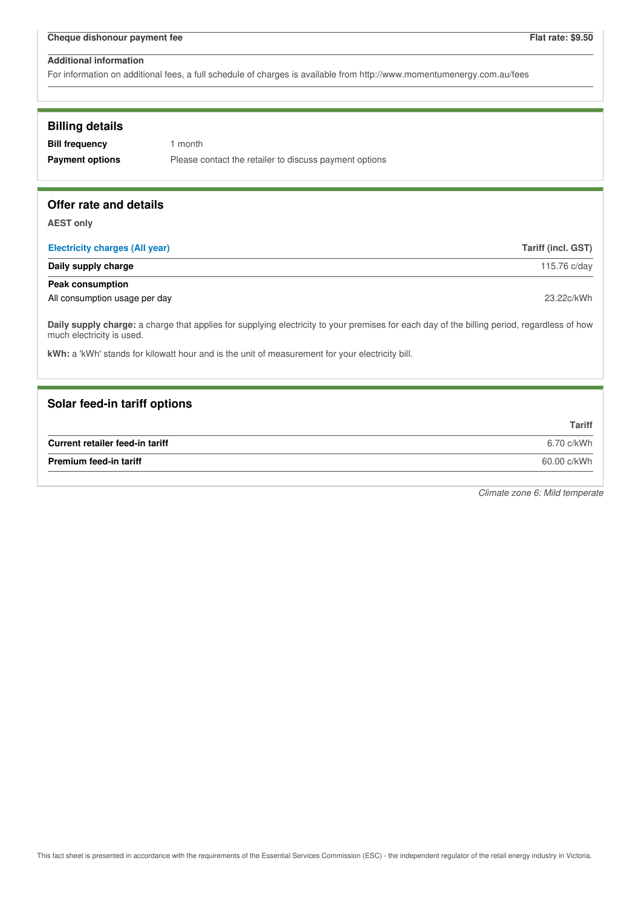For information on additional fees, a full schedule of charges is available from http://www.momentumenergy.com.au/fees

### **Billing details**

**Bill frequency** 1 month **Payment options** Please contact the retailer to discuss payment options

### **Offer rate and details**

**AEST only**

| <b>Electricity charges (All year)</b> | Tariff (incl. GST) |
|---------------------------------------|--------------------|
| Daily supply charge                   | 115.76 c/day       |
| <b>Peak consumption</b>               |                    |
| All consumption usage per day         | 23.22c/kWh         |

**Daily supply charge:** a charge that applies for supplying electricity to your premises for each day of the billing period, regardless of how much electricity is used.

**kWh:** a 'kWh' stands for kilowatt hour and is the unit of measurement for your electricity bill.

### **Solar feed-in tariff options**

|                                 | <b>Tariff</b> |
|---------------------------------|---------------|
| Current retailer feed-in tariff | 6.70 c/kWh    |
| <b>Premium feed-in tariff</b>   | 60.00 c/kWh   |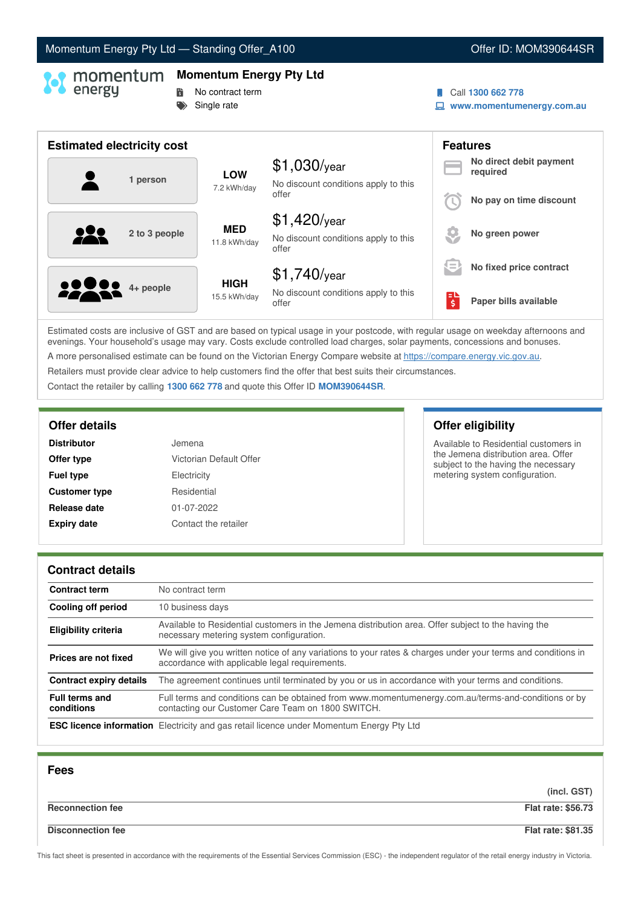# Momentum Energy Pty Ltd - Standing Offer\_A100 **Community Community Community Community** Offer ID: MOM390644SR

# **Momentum Energy Pty Ltd**

- **No contract term**
- Single rate
- Call **1300 662 778**
- **www.momentumenergy.com.au**

| <b>Estimated electricity cost</b> |                             |                                                                 |         | <b>Features</b>                     |
|-----------------------------------|-----------------------------|-----------------------------------------------------------------|---------|-------------------------------------|
| 1 person                          | <b>LOW</b><br>7.2 kWh/day   | $$1,030$ /year<br>No discount conditions apply to this          |         | No direct debit payment<br>required |
|                                   |                             | offer                                                           |         | No pay on time discount             |
| 2 to 3 people                     | <b>MED</b><br>11.8 kWh/day  | $$1,420$ /year<br>No discount conditions apply to this<br>offer |         | No green power                      |
|                                   |                             | $$1,740$ /year                                                  | $=$     | No fixed price contract             |
| <b>2200</b> 4+ people             | <b>HIGH</b><br>15.5 kWh/day | No discount conditions apply to this<br>offer                   | ЕΙ<br>ś | Paper bills available               |

Estimated costs are inclusive of GST and are based on typical usage in your postcode, with regular usage on weekday afternoons and evenings. Your household's usage may vary. Costs exclude controlled load charges, solar payments, concessions and bonuses. A more personalised estimate can be found on the Victorian Energy Compare website at <https://compare.energy.vic.gov.au>.

Retailers must provide clear advice to help customers find the offer that best suits their circumstances.

Contact the retailer by calling **1300 662 778** and quote this Offer ID **MOM390644SR**.

| Jemena                  |
|-------------------------|
| Victorian Default Offer |
| Electricity             |
| Residential             |
| 01-07-2022              |
| Contact the retailer    |
|                         |

# **Offer details Offer eligibility**

Available to Residential customers in the Jemena distribution area. Offer subject to the having the necessary metering system configuration.

### **Contract details**

| <b>Contract term</b>                | No contract term                                                                                                                                               |
|-------------------------------------|----------------------------------------------------------------------------------------------------------------------------------------------------------------|
| Cooling off period                  | 10 business days                                                                                                                                               |
| <b>Eligibility criteria</b>         | Available to Residential customers in the Jemena distribution area. Offer subject to the having the<br>necessary metering system configuration.                |
| Prices are not fixed                | We will give you written notice of any variations to your rates & charges under your terms and conditions in<br>accordance with applicable legal requirements. |
| <b>Contract expiry details</b>      | The agreement continues until terminated by you or us in accordance with your terms and conditions.                                                            |
| <b>Full terms and</b><br>conditions | Full terms and conditions can be obtained from www.momentumenergy.com.au/terms-and-conditions or by<br>contacting our Customer Care Team on 1800 SWITCH.       |
|                                     | <b>ESC licence information</b> Electricity and gas retail licence under Momentum Energy Pty Ltd                                                                |

| <b>Fees</b>              |                           |
|--------------------------|---------------------------|
|                          | (incl. GST)               |
| <b>Reconnection fee</b>  | <b>Flat rate: \$56.73</b> |
| <b>Disconnection fee</b> | <b>Flat rate: \$81.35</b> |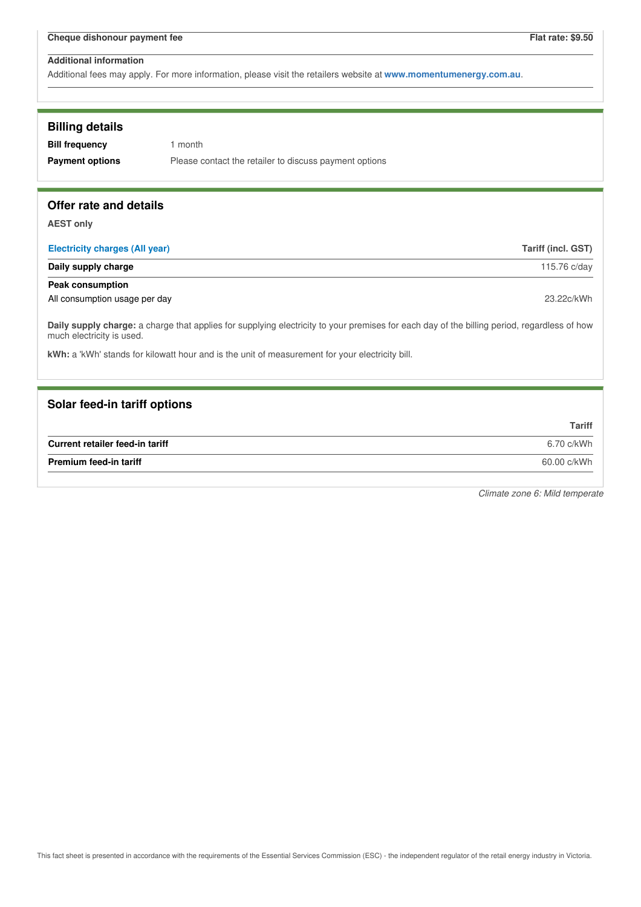Additional fees may apply. For more information, please visit the retailers website at **www.momentumenergy.com.au**.

| <b>Billing details</b><br><b>Bill frequency</b><br><b>Payment options</b> | 1 month<br>Please contact the retailer to discuss payment options                                                                           |                    |
|---------------------------------------------------------------------------|---------------------------------------------------------------------------------------------------------------------------------------------|--------------------|
| Offer rate and details                                                    |                                                                                                                                             |                    |
| <b>AEST only</b><br><b>Electricity charges (All year)</b>                 |                                                                                                                                             | Tariff (incl. GST) |
| Daily supply charge                                                       |                                                                                                                                             | 115.76 c/day       |
| <b>Peak consumption</b>                                                   |                                                                                                                                             |                    |
| All consumption usage per day                                             |                                                                                                                                             | 23.22c/kWh         |
| much electricity is used.                                                 | Daily supply charge: a charge that applies for supplying electricity to your premises for each day of the billing period, regardless of how |                    |
|                                                                           | kWh: a 'kWh' stands for kilowatt hour and is the unit of measurement for your electricity bill.                                             |                    |
|                                                                           |                                                                                                                                             |                    |
| Solar feed-in tariff options                                              |                                                                                                                                             |                    |
|                                                                           |                                                                                                                                             | <b>Tariff</b>      |
| Current retailer feed-in tariff                                           |                                                                                                                                             | 6.70 c/kWh         |
| <b>Premium feed-in tariff</b>                                             |                                                                                                                                             | 60.00 c/kWh        |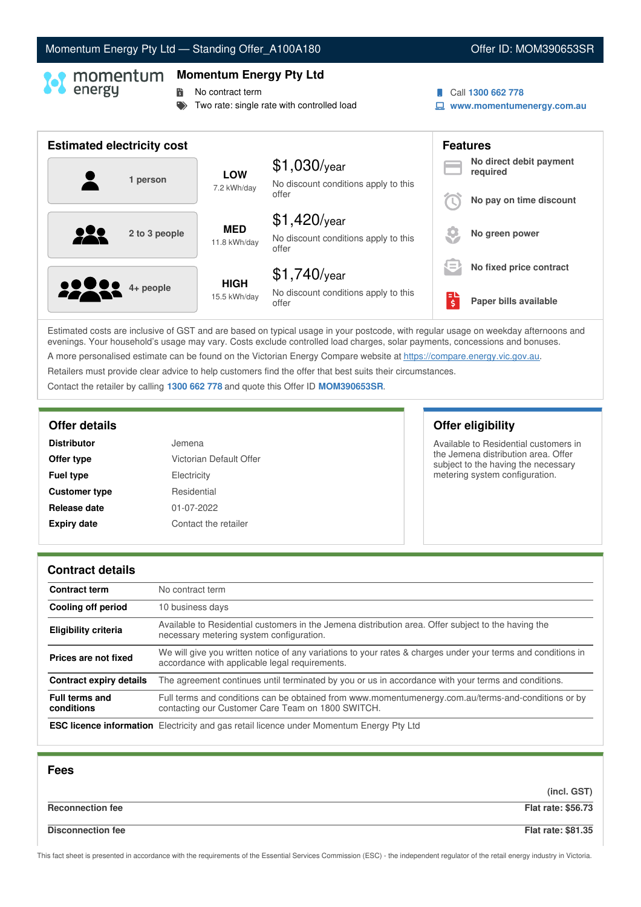# Momentum Energy Pty Ltd - Standing Offer\_A100A180 **Communist Communist Communist Communist Communist Communist Communist Communist Communist Communist Communist Communist Communist Communist Communist Communist Communist C**

### **Momentum Energy Pty Ltd**

**No contract term** 

- Two rate: single rate with controlled load
- Call **1300 662 778**
- **www.momentumenergy.com.au**

| <b>Estimated electricity cost</b> |                             |                                                                 |          | <b>Features</b>                     |
|-----------------------------------|-----------------------------|-----------------------------------------------------------------|----------|-------------------------------------|
| 1 person                          | <b>LOW</b><br>7.2 kWh/day   | $$1,030$ /year<br>No discount conditions apply to this          |          | No direct debit payment<br>required |
|                                   |                             | offer                                                           |          | No pay on time discount             |
| 222<br>2 to 3 people              | <b>MED</b><br>11.8 kWh/day  | $$1,420$ /year<br>No discount conditions apply to this<br>offer |          | No green power                      |
|                                   |                             | $$1,740$ /year                                                  | $=$      | No fixed price contract             |
| <b>22 00</b> 4+ people            | <b>HIGH</b><br>15.5 kWh/day | No discount conditions apply to this<br>offer                   | ЕU<br>\$ | Paper bills available               |

Estimated costs are inclusive of GST and are based on typical usage in your postcode, with regular usage on weekday afternoons and evenings. Your household's usage may vary. Costs exclude controlled load charges, solar payments, concessions and bonuses. A more personalised estimate can be found on the Victorian Energy Compare website at <https://compare.energy.vic.gov.au>.

Retailers must provide clear advice to help customers find the offer that best suits their circumstances.

Contact the retailer by calling **1300 662 778** and quote this Offer ID **MOM390653SR**.

| Jemena                  |
|-------------------------|
| Victorian Default Offer |
| Electricity             |
| Residential             |
| 01-07-2022              |
| Contact the retailer    |
|                         |

# **Offer details Offer eligibility**

Available to Residential customers in the Jemena distribution area. Offer subject to the having the necessary metering system configuration.

### **Contract details**

| <b>Contract term</b>                | No contract term                                                                                                                                               |
|-------------------------------------|----------------------------------------------------------------------------------------------------------------------------------------------------------------|
| Cooling off period                  | 10 business days                                                                                                                                               |
| <b>Eligibility criteria</b>         | Available to Residential customers in the Jemena distribution area. Offer subject to the having the<br>necessary metering system configuration.                |
| Prices are not fixed                | We will give you written notice of any variations to your rates & charges under your terms and conditions in<br>accordance with applicable legal requirements. |
| <b>Contract expiry details</b>      | The agreement continues until terminated by you or us in accordance with your terms and conditions.                                                            |
| <b>Full terms and</b><br>conditions | Full terms and conditions can be obtained from www.momentumenergy.com.au/terms-and-conditions or by<br>contacting our Customer Care Team on 1800 SWITCH.       |
|                                     | <b>ESC licence information</b> Electricity and gas retail licence under Momentum Energy Pty Ltd                                                                |

| <b>Fees</b>              |                           |
|--------------------------|---------------------------|
|                          | (incl. GST)               |
| <b>Reconnection fee</b>  | <b>Flat rate: \$56.73</b> |
| <b>Disconnection fee</b> | <b>Flat rate: \$81.35</b> |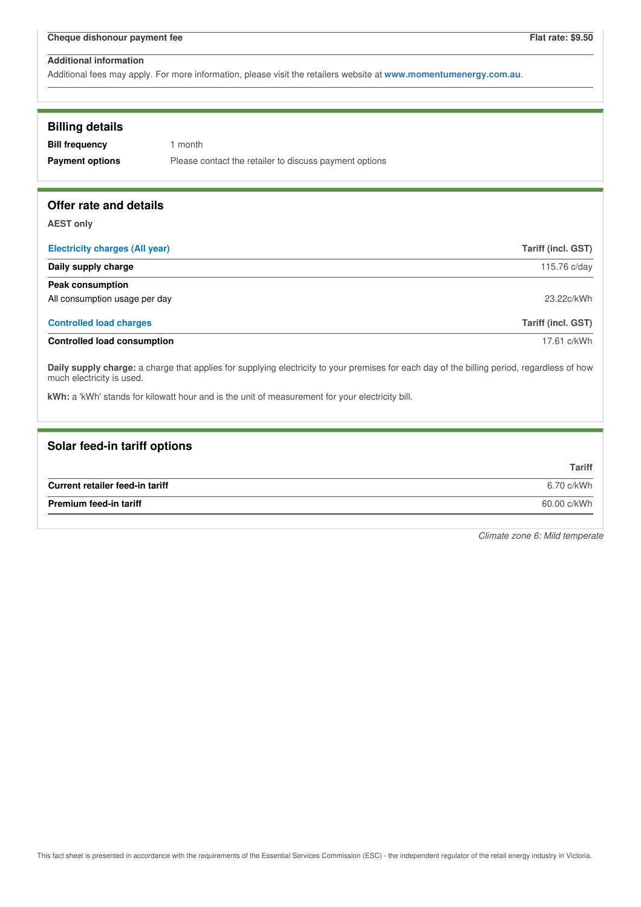Additional fees may apply. For more information, please visit the retailers website at **www.momentumenergy.com.au**.

| <b>Billing details</b><br><b>Bill frequency</b><br><b>Payment options</b> | 1 month<br>Please contact the retailer to discuss payment options                                                                                                                                                                              |                           |
|---------------------------------------------------------------------------|------------------------------------------------------------------------------------------------------------------------------------------------------------------------------------------------------------------------------------------------|---------------------------|
| Offer rate and details                                                    |                                                                                                                                                                                                                                                |                           |
| <b>AEST only</b>                                                          |                                                                                                                                                                                                                                                |                           |
| <b>Electricity charges (All year)</b>                                     |                                                                                                                                                                                                                                                | <b>Tariff (incl. GST)</b> |
| Daily supply charge                                                       |                                                                                                                                                                                                                                                | 115.76 c/day              |
| <b>Peak consumption</b>                                                   |                                                                                                                                                                                                                                                |                           |
| All consumption usage per day                                             |                                                                                                                                                                                                                                                | 23.22c/kWh                |
| <b>Controlled load charges</b>                                            |                                                                                                                                                                                                                                                | <b>Tariff (incl. GST)</b> |
| <b>Controlled load consumption</b>                                        |                                                                                                                                                                                                                                                | 17.61 c/kWh               |
| much electricity is used.                                                 | Daily supply charge: a charge that applies for supplying electricity to your premises for each day of the billing period, regardless of how<br>kWh: a 'kWh' stands for kilowatt hour and is the unit of measurement for your electricity bill. |                           |

| <b>Tariff</b> |
|---------------|
| 6.70 c/kWh    |
| 60.00 c/kWh   |
|               |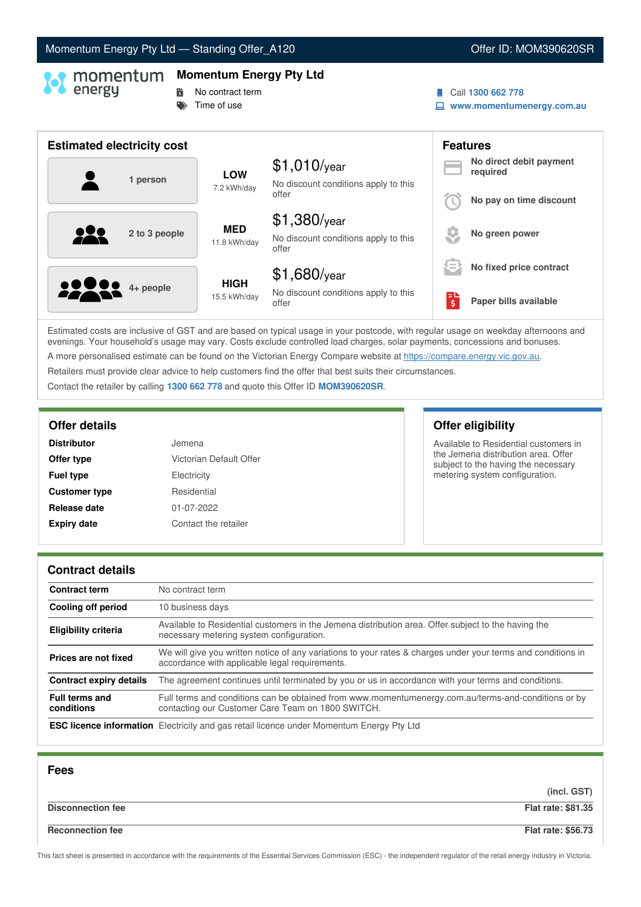# Momentum Energy Pty Ltd - Standing Offer\_A120 **Community Community Community Community** Offer ID: MOM390620SR

# **Momentum Energy Pty Ltd**

- **No contract term**
- $\Rightarrow$  Time of use
- Call **1300 662 778**
- **www.momentumenergy.com.au**

| <b>Estimated electricity cost</b> |                             |                                                                 |                                                          | <b>Features</b>                     |
|-----------------------------------|-----------------------------|-----------------------------------------------------------------|----------------------------------------------------------|-------------------------------------|
| 1 person                          | <b>LOW</b><br>7.2 kWh/day   | $$1,010$ /year<br>No discount conditions apply to this          |                                                          | No direct debit payment<br>required |
|                                   |                             | offer                                                           |                                                          | No pay on time discount             |
| 2 to 3 people                     | <b>MED</b><br>11.8 kWh/day  | $$1,380$ /year<br>No discount conditions apply to this<br>offer |                                                          | No green power                      |
|                                   |                             | $$1,680$ /year                                                  | $\overline{\phantom{a}}$<br>$\qquad \qquad \blacksquare$ | No fixed price contract             |
| <b>22 Mai 4+ people</b>           | <b>HIGH</b><br>15.5 kWh/day | No discount conditions apply to this<br>offer                   | \$                                                       | Paper bills available               |

Estimated costs are inclusive of GST and are based on typical usage in your postcode, with regular usage on weekday afternoons and evenings. Your household's usage may vary. Costs exclude controlled load charges, solar payments, concessions and bonuses. A more personalised estimate can be found on the Victorian Energy Compare website at <https://compare.energy.vic.gov.au>.

Retailers must provide clear advice to help customers find the offer that best suits their circumstances.

Contact the retailer by calling **1300 662 778** and quote this Offer ID **MOM390620SR**.

| Jemena                  |
|-------------------------|
| Victorian Default Offer |
| Electricity             |
| Residential             |
| 01-07-2022              |
| Contact the retailer    |
|                         |

**Offer details Offer eligibility**

Available to Residential customers in the Jemena distribution area. Offer subject to the having the necessary metering system configuration.

### **Contract details**

| <b>Contract term</b>                | No contract term                                                                                                                                               |
|-------------------------------------|----------------------------------------------------------------------------------------------------------------------------------------------------------------|
| Cooling off period                  | 10 business days                                                                                                                                               |
| <b>Eligibility criteria</b>         | Available to Residential customers in the Jemena distribution area. Offer subject to the having the<br>necessary metering system configuration.                |
| Prices are not fixed                | We will give you written notice of any variations to your rates & charges under your terms and conditions in<br>accordance with applicable legal requirements. |
| <b>Contract expiry details</b>      | The agreement continues until terminated by you or us in accordance with your terms and conditions.                                                            |
| <b>Full terms and</b><br>conditions | Full terms and conditions can be obtained from www.momentumenergy.com.au/terms-and-conditions or by<br>contacting our Customer Care Team on 1800 SWITCH.       |
|                                     | <b>ESC licence information</b> Electricity and gas retail licence under Momentum Energy Pty Ltd                                                                |

| <b>Fees</b>              |                           |
|--------------------------|---------------------------|
|                          | (incl. GST)               |
| <b>Disconnection fee</b> | <b>Flat rate: \$81.35</b> |
| <b>Reconnection fee</b>  | <b>Flat rate: \$56.73</b> |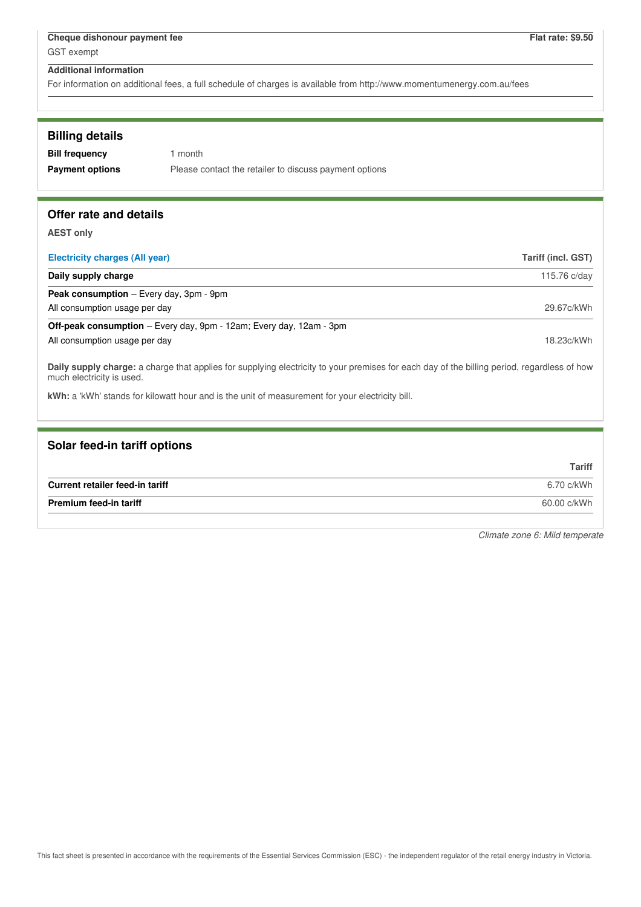For information on additional fees, a full schedule of charges is available from http://www.momentumenergy.com.au/fees

| <b>Billing details</b> |                                                        |
|------------------------|--------------------------------------------------------|
| <b>Bill frequency</b>  | 1 month                                                |
| <b>Payment options</b> | Please contact the retailer to discuss payment options |

# **Offer rate and details**

**AEST only**

| <b>Electricity charges (All year)</b>                                      | Tariff (incl. GST) |
|----------------------------------------------------------------------------|--------------------|
| Daily supply charge                                                        | 115.76 c/day       |
| <b>Peak consumption</b> – Every day, 3pm - 9pm                             |                    |
| All consumption usage per day                                              | 29.67c/kWh         |
| <b>Off-peak consumption</b> – Every day, 9pm - 12am; Every day, 12am - 3pm |                    |
| All consumption usage per day                                              | 18.23c/kWh         |
|                                                                            |                    |

**Daily supply charge:** a charge that applies for supplying electricity to your premises for each day of the billing period, regardless of how much electricity is used.

**kWh:** a 'kWh' stands for kilowatt hour and is the unit of measurement for your electricity bill.

# **Solar feed-in tariff options**

|                                 | <b>Tariff</b> |
|---------------------------------|---------------|
| Current retailer feed-in tariff | 6.70 c/kWh    |
| <b>Premium feed-in tariff</b>   | 60.00 c/kWh   |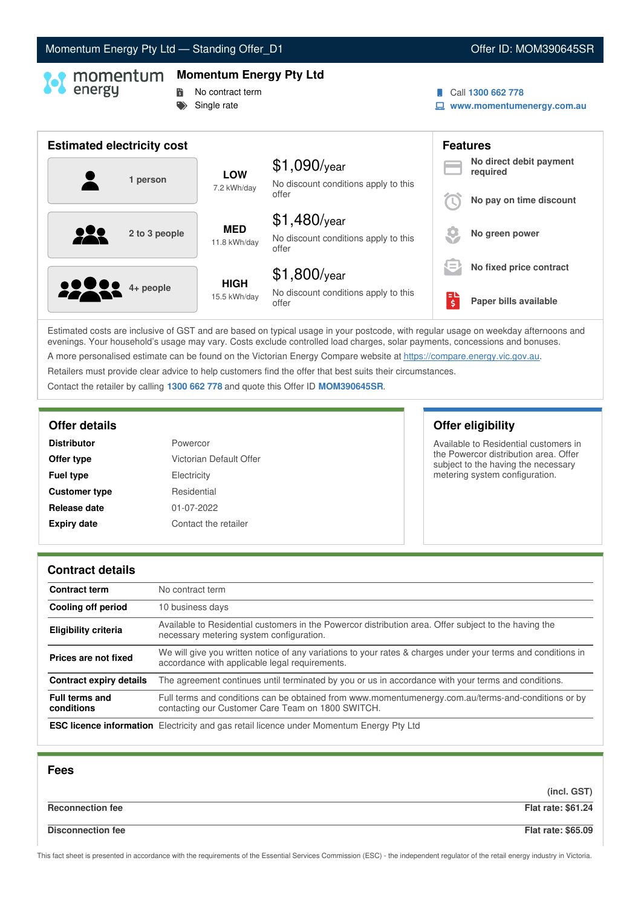# Momentum Energy Pty Ltd - Standing Offer\_D1 **Community Community Community Community** Offer ID: MOM390645SR

# **Momentum Energy Pty Ltd**

- **No contract term**
- Single rate
- Call **1300 662 778**
- **www.momentumenergy.com.au**

| <b>Estimated electricity cost</b> |                             |                                                                 |         | <b>Features</b>                     |
|-----------------------------------|-----------------------------|-----------------------------------------------------------------|---------|-------------------------------------|
| 1 person                          | <b>LOW</b><br>7.2 kWh/day   | $$1,090$ /year<br>No discount conditions apply to this          |         | No direct debit payment<br>required |
|                                   |                             | offer                                                           |         | No pay on time discount             |
| 2 to 3 people                     | <b>MED</b><br>11.8 kWh/day  | $$1,480$ /year<br>No discount conditions apply to this<br>offer |         | No green power                      |
|                                   |                             | $$1,800$ /year                                                  | $=$     | No fixed price contract             |
| <b>2200</b> 4+ people             | <b>HIGH</b><br>15.5 kWh/day | No discount conditions apply to this<br>offer                   | Εl<br>Ś | Paper bills available               |

Estimated costs are inclusive of GST and are based on typical usage in your postcode, with regular usage on weekday afternoons and evenings. Your household's usage may vary. Costs exclude controlled load charges, solar payments, concessions and bonuses. A more personalised estimate can be found on the Victorian Energy Compare website at <https://compare.energy.vic.gov.au>.

Retailers must provide clear advice to help customers find the offer that best suits their circumstances.

Contact the retailer by calling **1300 662 778** and quote this Offer ID **MOM390645SR**.

| Powercor                |
|-------------------------|
| Victorian Default Offer |
| Electricity             |
| Residential             |
| 01-07-2022              |
| Contact the retailer    |
|                         |

**Offer details Offer eligibility**

Available to Residential customers in the Powercor distribution area. Offer subject to the having the necessary metering system configuration.

### **Contract details**

| <b>Contract term</b>                | No contract term                                                                                                                                               |
|-------------------------------------|----------------------------------------------------------------------------------------------------------------------------------------------------------------|
| Cooling off period                  | 10 business days                                                                                                                                               |
| <b>Eligibility criteria</b>         | Available to Residential customers in the Powercor distribution area. Offer subject to the having the<br>necessary metering system configuration.              |
| Prices are not fixed                | We will give you written notice of any variations to your rates & charges under your terms and conditions in<br>accordance with applicable legal requirements. |
| <b>Contract expiry details</b>      | The agreement continues until terminated by you or us in accordance with your terms and conditions.                                                            |
| <b>Full terms and</b><br>conditions | Full terms and conditions can be obtained from www.momentumenergy.com.au/terms-and-conditions or by<br>contacting our Customer Care Team on 1800 SWITCH.       |
|                                     | <b>ESC licence information</b> Electricity and gas retail licence under Momentum Energy Pty Ltd                                                                |

| <b>Fees</b>              |                           |
|--------------------------|---------------------------|
|                          | (incl. GST)               |
| <b>Reconnection fee</b>  | <b>Flat rate: \$61.24</b> |
| <b>Disconnection fee</b> | <b>Flat rate: \$65.09</b> |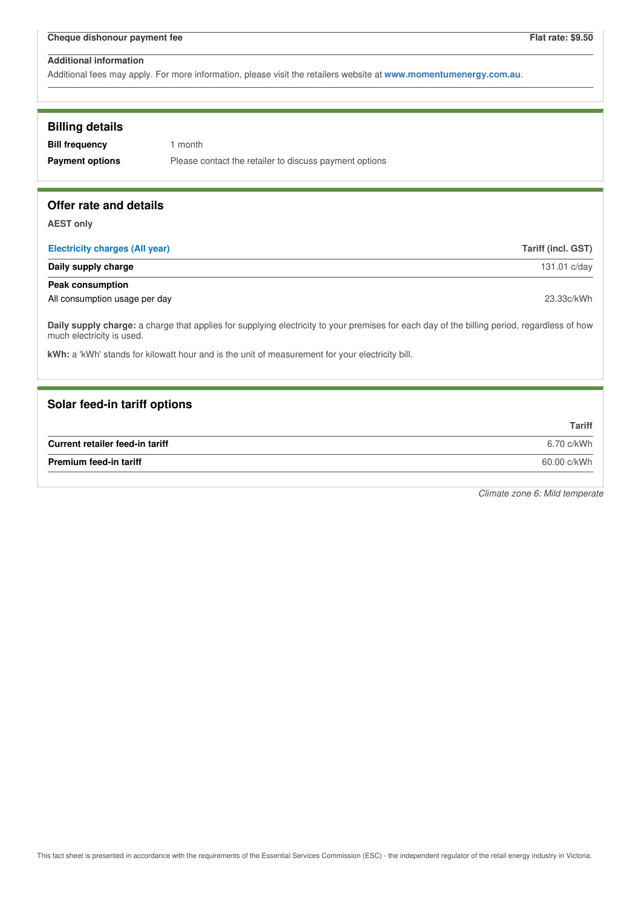Additional fees may apply. For more information, please visit the retailers website at **www.momentumenergy.com.au**.

| <b>Billing details</b><br><b>Bill frequency</b><br><b>Payment options</b> | 1 month<br>Please contact the retailer to discuss payment options                                                                           |                    |  |
|---------------------------------------------------------------------------|---------------------------------------------------------------------------------------------------------------------------------------------|--------------------|--|
| Offer rate and details                                                    |                                                                                                                                             |                    |  |
| <b>AEST only</b><br><b>Electricity charges (All year)</b>                 |                                                                                                                                             | Tariff (incl. GST) |  |
| Daily supply charge                                                       |                                                                                                                                             | 131.01 c/day       |  |
| <b>Peak consumption</b>                                                   |                                                                                                                                             |                    |  |
| All consumption usage per day                                             |                                                                                                                                             | 23.33c/kWh         |  |
| much electricity is used.                                                 | Daily supply charge: a charge that applies for supplying electricity to your premises for each day of the billing period, regardless of how |                    |  |
|                                                                           | kWh: a 'kWh' stands for kilowatt hour and is the unit of measurement for your electricity bill.                                             |                    |  |
|                                                                           |                                                                                                                                             |                    |  |
| Solar feed-in tariff options                                              |                                                                                                                                             |                    |  |
|                                                                           |                                                                                                                                             | <b>Tariff</b>      |  |
| Current retailer feed-in tariff                                           |                                                                                                                                             | 6.70 c/kWh         |  |
| <b>Premium feed-in tariff</b>                                             | 60.00 c/kWh                                                                                                                                 |                    |  |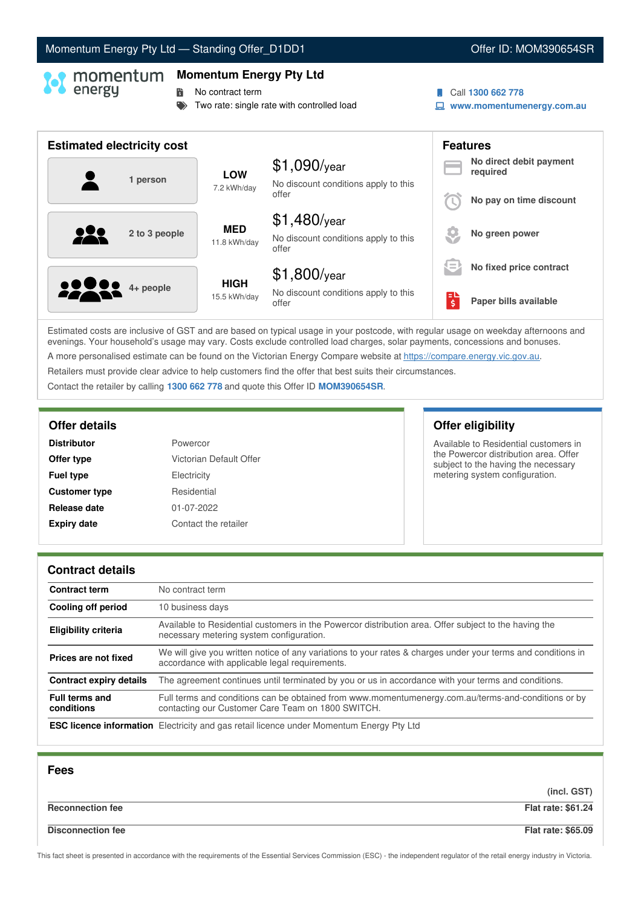# Momentum Energy Pty Ltd - Standing Offer\_D1DD1 **Communist Communist Communist Communist Communist Communist Communist Communist Communist Communist Communist Communist Communist Communist Communist Communist Communist Comm**

# **Momentum Energy Pty Ltd**

**No contract term** 

- Two rate: single rate with controlled load
- Call **1300 662 778**
- **www.momentumenergy.com.au**

| <b>Estimated electricity cost</b> |               |                             |                                                                 |    | <b>Features</b>                     |
|-----------------------------------|---------------|-----------------------------|-----------------------------------------------------------------|----|-------------------------------------|
|                                   | 1 person      | <b>LOW</b><br>7.2 kWh/day   | $$1,090$ /year<br>No discount conditions apply to this          |    | No direct debit payment<br>required |
|                                   |               |                             | offer                                                           |    | No pay on time discount             |
| 122                               | 2 to 3 people | <b>MED</b><br>11.8 kWh/day  | $$1,480$ /year<br>No discount conditions apply to this<br>offer |    | No green power                      |
|                                   |               |                             | $$1,800$ /year                                                  | lΞ | No fixed price contract             |
| <b>2000</b> 4+ people             |               | <b>HIGH</b><br>15.5 kWh/day | No discount conditions apply to this<br>offer                   | \$ | Paper bills available               |

Estimated costs are inclusive of GST and are based on typical usage in your postcode, with regular usage on weekday afternoons and evenings. Your household's usage may vary. Costs exclude controlled load charges, solar payments, concessions and bonuses. A more personalised estimate can be found on the Victorian Energy Compare website at <https://compare.energy.vic.gov.au>.

Retailers must provide clear advice to help customers find the offer that best suits their circumstances.

Contact the retailer by calling **1300 662 778** and quote this Offer ID **MOM390654SR**.

| <b>Distributor</b>   | Powercor                |
|----------------------|-------------------------|
| Offer type           | Victorian Default Offer |
| <b>Fuel type</b>     | Electricity             |
| <b>Customer type</b> | Residential             |
| Release date         | 01-07-2022              |
| <b>Expiry date</b>   | Contact the retailer    |

# **Offer details Offer eligibility**

Available to Residential customers in the Powercor distribution area. Offer subject to the having the necessary metering system configuration.

### **Contract details**

| <b>Contract term</b>                | No contract term                                                                                                                                               |
|-------------------------------------|----------------------------------------------------------------------------------------------------------------------------------------------------------------|
| Cooling off period                  | 10 business days                                                                                                                                               |
| <b>Eligibility criteria</b>         | Available to Residential customers in the Powercor distribution area. Offer subject to the having the<br>necessary metering system configuration.              |
| Prices are not fixed                | We will give you written notice of any variations to your rates & charges under your terms and conditions in<br>accordance with applicable legal requirements. |
| <b>Contract expiry details</b>      | The agreement continues until terminated by you or us in accordance with your terms and conditions.                                                            |
| <b>Full terms and</b><br>conditions | Full terms and conditions can be obtained from www.momentumenergy.com.au/terms-and-conditions or by<br>contacting our Customer Care Team on 1800 SWITCH.       |
|                                     | <b>ESC licence information</b> Electricity and gas retail licence under Momentum Energy Pty Ltd                                                                |

| <b>Fees</b>              |                           |
|--------------------------|---------------------------|
|                          | (incl. GST)               |
| <b>Reconnection fee</b>  | <b>Flat rate: \$61.24</b> |
| <b>Disconnection fee</b> | <b>Flat rate: \$65.09</b> |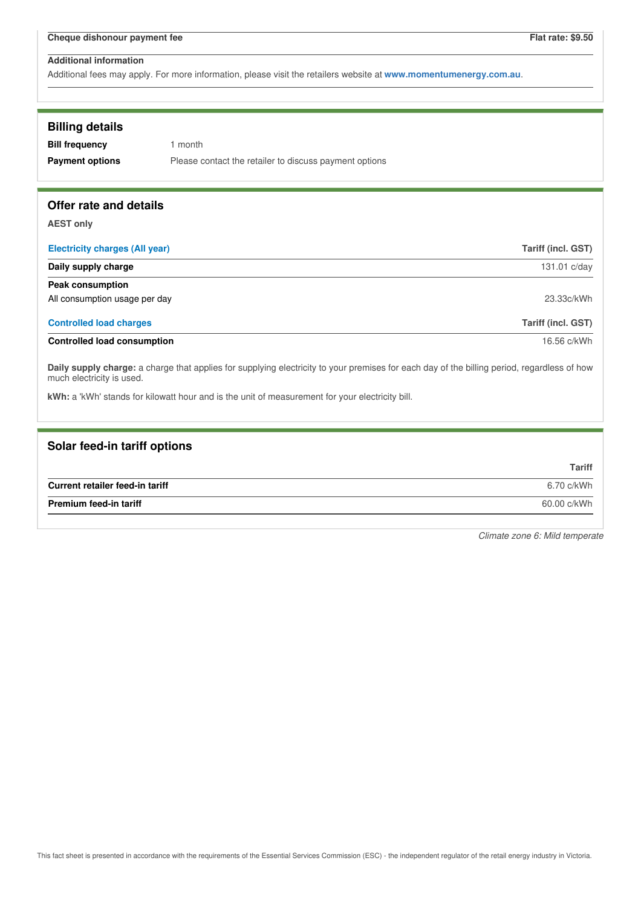Additional fees may apply. For more information, please visit the retailers website at **www.momentumenergy.com.au**.

| <b>Billing details</b>                                                           |                                                                                                                                             |                           |
|----------------------------------------------------------------------------------|---------------------------------------------------------------------------------------------------------------------------------------------|---------------------------|
| <b>Bill frequency</b>                                                            | 1 month                                                                                                                                     |                           |
| <b>Payment options</b><br>Please contact the retailer to discuss payment options |                                                                                                                                             |                           |
| Offer rate and details                                                           |                                                                                                                                             |                           |
| <b>AEST only</b>                                                                 |                                                                                                                                             |                           |
| <b>Electricity charges (All year)</b>                                            |                                                                                                                                             | <b>Tariff (incl. GST)</b> |
| Daily supply charge                                                              |                                                                                                                                             | 131.01 c/day              |
| <b>Peak consumption</b>                                                          |                                                                                                                                             |                           |
| All consumption usage per day                                                    |                                                                                                                                             | 23.33c/kWh                |
| <b>Controlled load charges</b>                                                   |                                                                                                                                             | <b>Tariff (incl. GST)</b> |
| <b>Controlled load consumption</b>                                               |                                                                                                                                             | 16.56 c/kWh               |
| much electricity is used.                                                        | Daily supply charge: a charge that applies for supplying electricity to your premises for each day of the billing period, regardless of how |                           |
|                                                                                  | kWh: a 'kWh' stands for kilowatt hour and is the unit of measurement for your electricity bill.                                             |                           |
|                                                                                  |                                                                                                                                             |                           |

| Solar feed-in tariff options    |               |
|---------------------------------|---------------|
|                                 | <b>Tariff</b> |
| Current retailer feed-in tariff | 6.70 c/kWh    |
| <b>Premium feed-in tariff</b>   | 60.00 c/kWh   |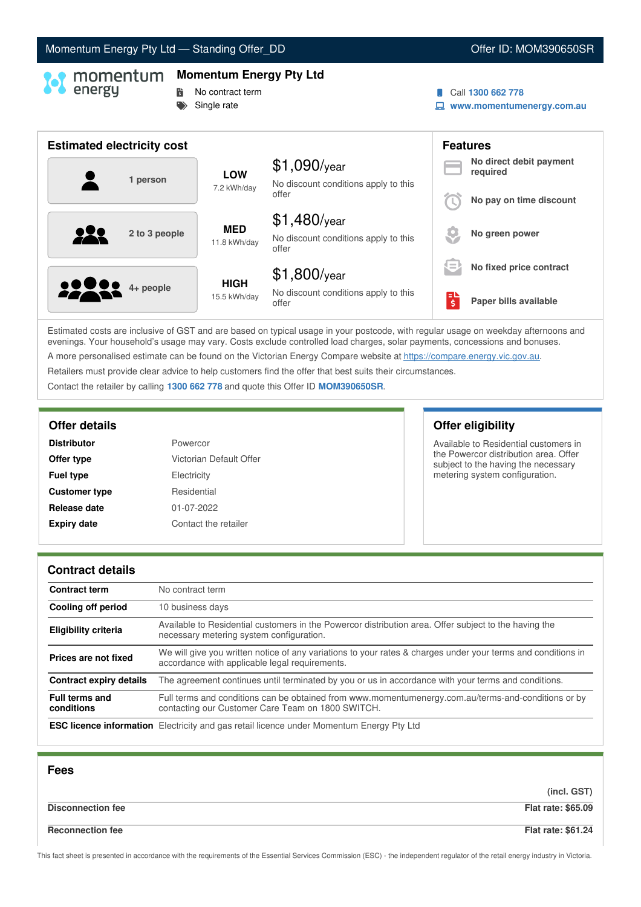# Momentum Energy Pty Ltd - Standing Offer\_DD **Community Community Community Community** Offer ID: MOM390650SR

# **Momentum Energy Pty Ltd**

- **No contract term** 
	- Single rate
- Call **1300 662 778**
- **www.momentumenergy.com.au**

| <b>Estimated electricity cost</b> |                             |                                                                 |         | <b>Features</b>                     |
|-----------------------------------|-----------------------------|-----------------------------------------------------------------|---------|-------------------------------------|
| 1 person                          | <b>LOW</b><br>7.2 kWh/day   | $$1,090$ /year<br>No discount conditions apply to this          |         | No direct debit payment<br>required |
|                                   |                             | offer                                                           |         | No pay on time discount             |
| 2 to 3 people                     | <b>MED</b><br>11.8 kWh/day  | $$1,480$ /year<br>No discount conditions apply to this<br>offer |         | No green power                      |
|                                   |                             | $$1,800$ /year                                                  | $=$     | No fixed price contract             |
| <b>2200</b> 4+ people             | <b>HIGH</b><br>15.5 kWh/day | No discount conditions apply to this<br>offer                   | ЕΙ<br>ś | Paper bills available               |

Estimated costs are inclusive of GST and are based on typical usage in your postcode, with regular usage on weekday afternoons and evenings. Your household's usage may vary. Costs exclude controlled load charges, solar payments, concessions and bonuses. A more personalised estimate can be found on the Victorian Energy Compare website at <https://compare.energy.vic.gov.au>.

Retailers must provide clear advice to help customers find the offer that best suits their circumstances.

Contact the retailer by calling **1300 662 778** and quote this Offer ID **MOM390650SR**.

| Powercor                |
|-------------------------|
| Victorian Default Offer |
| Electricity             |
| Residential             |
| 01-07-2022              |
| Contact the retailer    |
|                         |

**Offer details Offer eligibility**

Available to Residential customers in the Powercor distribution area. Offer subject to the having the necessary metering system configuration.

### **Contract details**

| <b>Contract term</b>                | No contract term                                                                                                                                               |
|-------------------------------------|----------------------------------------------------------------------------------------------------------------------------------------------------------------|
| Cooling off period                  | 10 business days                                                                                                                                               |
| <b>Eligibility criteria</b>         | Available to Residential customers in the Powercor distribution area. Offer subject to the having the<br>necessary metering system configuration.              |
| Prices are not fixed                | We will give you written notice of any variations to your rates & charges under your terms and conditions in<br>accordance with applicable legal requirements. |
| <b>Contract expiry details</b>      | The agreement continues until terminated by you or us in accordance with your terms and conditions.                                                            |
| <b>Full terms and</b><br>conditions | Full terms and conditions can be obtained from www.momentumenergy.com.au/terms-and-conditions or by<br>contacting our Customer Care Team on 1800 SWITCH.       |
|                                     | <b>ESC licence information</b> Electricity and gas retail licence under Momentum Energy Pty Ltd                                                                |

| <b>Fees</b>              |                           |
|--------------------------|---------------------------|
|                          | (incl. GST)               |
| <b>Disconnection fee</b> | <b>Flat rate: \$65.09</b> |
| <b>Reconnection fee</b>  | <b>Flat rate: \$61.24</b> |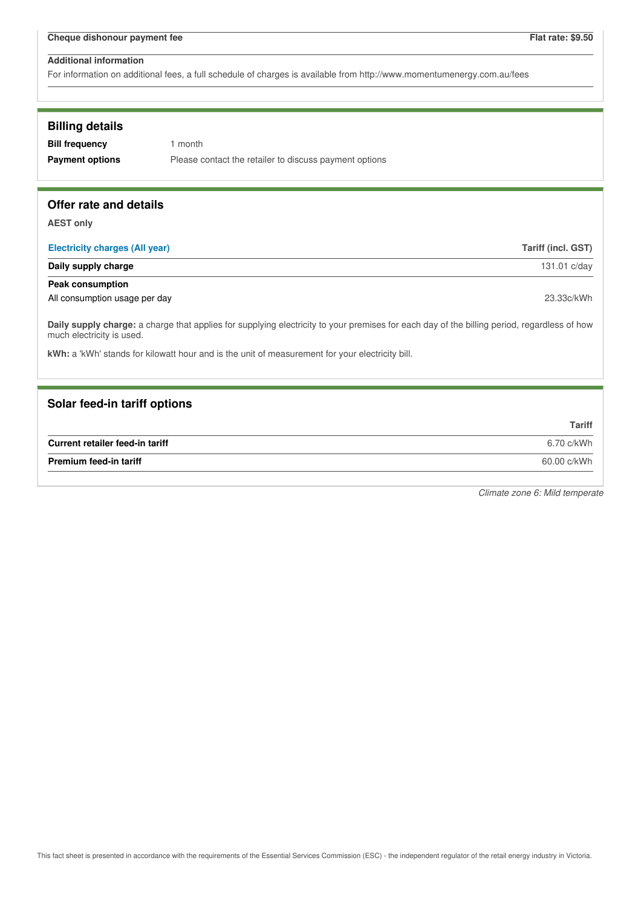For information on additional fees, a full schedule of charges is available from http://www.momentumenergy.com.au/fees

### **Billing details**

**Bill frequency** 1 month

**Payment options** Please contact the retailer to discuss payment options

### **Offer rate and details**

**AEST only**

| <b>Electricity charges (All year)</b> | Tariff (incl. GST) |
|---------------------------------------|--------------------|
| Daily supply charge                   | 131.01 c/day       |
| Peak consumption                      |                    |
| All consumption usage per day         | 23.33c/kWh         |

**Daily supply charge:** a charge that applies for supplying electricity to your premises for each day of the billing period, regardless of how much electricity is used.

**kWh:** a 'kWh' stands for kilowatt hour and is the unit of measurement for your electricity bill.

### **Solar feed-in tariff options**

|                                 | <b>Tariff</b> |
|---------------------------------|---------------|
| Current retailer feed-in tariff | 6.70 c/kWh    |
| <b>Premium feed-in tariff</b>   | 60.00 c/kWh   |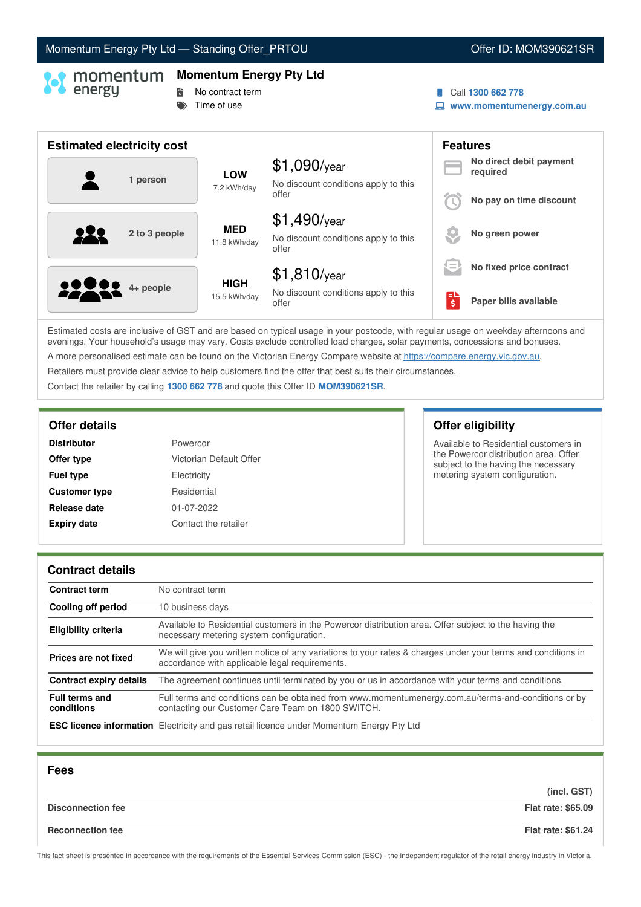# Momentum Energy Pty Ltd - Standing Offer\_PRTOU Now and Context Context ID: MOM390621SR

### **Momentum Energy Pty Ltd**

- **No contract term** 
	- $\Rightarrow$  Time of use
- Call **1300 662 778**
- **www.momentumenergy.com.au**

| <b>Estimated electricity cost</b> |                             |                                                                 | <b>Features</b> |                                     |
|-----------------------------------|-----------------------------|-----------------------------------------------------------------|-----------------|-------------------------------------|
| 1 person                          | <b>LOW</b><br>7.2 kWh/day   | $$1,090$ /year<br>No discount conditions apply to this          |                 | No direct debit payment<br>required |
|                                   |                             | offer                                                           |                 | No pay on time discount             |
| 2 to 3 people                     | <b>MED</b><br>11.8 kWh/day  | $$1,490$ /year<br>No discount conditions apply to this<br>offer |                 | No green power                      |
|                                   |                             | $$1,810$ /year                                                  | $=$             | No fixed price contract             |
| <b>2200</b> 4+ people             | <b>HIGH</b><br>15.5 kWh/day | No discount conditions apply to this<br>offer                   | ы<br>Ś          | Paper bills available               |

Estimated costs are inclusive of GST and are based on typical usage in your postcode, with regular usage on weekday afternoons and evenings. Your household's usage may vary. Costs exclude controlled load charges, solar payments, concessions and bonuses. A more personalised estimate can be found on the Victorian Energy Compare website at <https://compare.energy.vic.gov.au>.

Retailers must provide clear advice to help customers find the offer that best suits their circumstances.

Contact the retailer by calling **1300 662 778** and quote this Offer ID **MOM390621SR**.

| Powercor                |
|-------------------------|
| Victorian Default Offer |
| Electricity             |
| Residential             |
| 01-07-2022              |
| Contact the retailer    |
|                         |

# **Offer details Offer eligibility**

Available to Residential customers in the Powercor distribution area. Offer subject to the having the necessary metering system configuration.

### **Contract details**

| <b>Contract term</b>                | No contract term                                                                                                                                               |
|-------------------------------------|----------------------------------------------------------------------------------------------------------------------------------------------------------------|
| Cooling off period                  | 10 business days                                                                                                                                               |
| <b>Eligibility criteria</b>         | Available to Residential customers in the Powercor distribution area. Offer subject to the having the<br>necessary metering system configuration.              |
| Prices are not fixed                | We will give you written notice of any variations to your rates & charges under your terms and conditions in<br>accordance with applicable legal requirements. |
| <b>Contract expiry details</b>      | The agreement continues until terminated by you or us in accordance with your terms and conditions.                                                            |
| <b>Full terms and</b><br>conditions | Full terms and conditions can be obtained from www.momentumenergy.com.au/terms-and-conditions or by<br>contacting our Customer Care Team on 1800 SWITCH.       |
|                                     | <b>ESC licence information</b> Electricity and gas retail licence under Momentum Energy Pty Ltd                                                                |

| <b>Fees</b>              |                           |
|--------------------------|---------------------------|
|                          | (incl. GST)               |
| <b>Disconnection fee</b> | <b>Flat rate: \$65.09</b> |
| <b>Reconnection fee</b>  | <b>Flat rate: \$61.24</b> |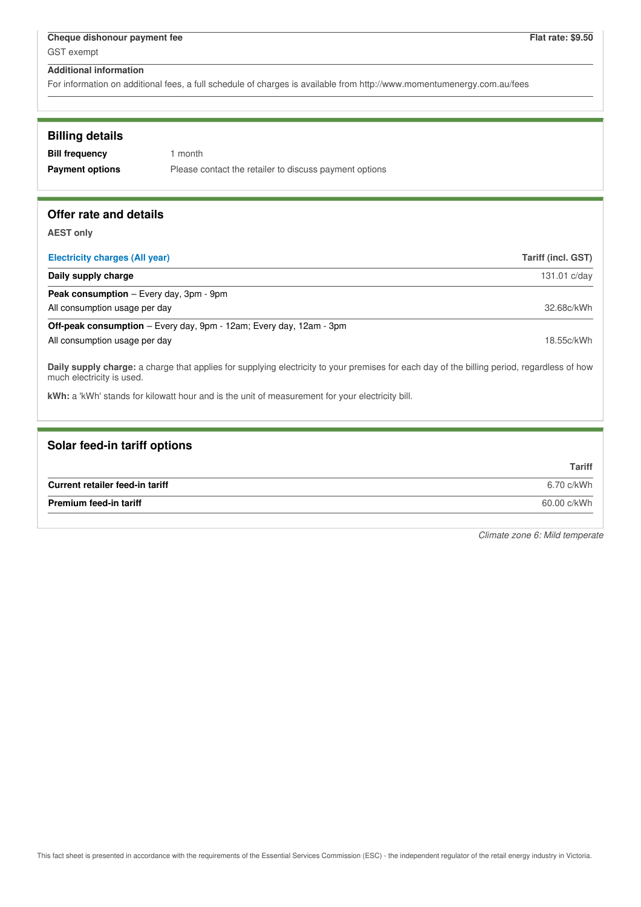For information on additional fees, a full schedule of charges is available from http://www.momentumenergy.com.au/fees

| <b>Billing details</b> |                                                        |
|------------------------|--------------------------------------------------------|
| <b>Bill frequency</b>  | 1 month                                                |
| <b>Payment options</b> | Please contact the retailer to discuss payment options |
|                        |                                                        |

# **Offer rate and details**

**AEST only**

| <b>Electricity charges (All year)</b>                                                                                                     | Tariff (incl. GST) |
|-------------------------------------------------------------------------------------------------------------------------------------------|--------------------|
| Daily supply charge                                                                                                                       | 131.01 c/day       |
| <b>Peak consumption</b> – Every day, 3pm - 9pm                                                                                            |                    |
| All consumption usage per day                                                                                                             | 32.68c/kWh         |
| <b>Off-peak consumption</b> – Every day, 9pm - 12am; Every day, 12am - 3pm                                                                |                    |
| All consumption usage per day                                                                                                             | 18.55c/kWh         |
| Delle econole elequente chargo that applica for curabina algabricity to varminare for agalo day of the billian pariod, regardlage of bayy |                    |

**Daily supply charge:** a charge that applies for supplying electricity to your premises for each day of the billing period, regardless of how much electricity is used.

**kWh:** a 'kWh' stands for kilowatt hour and is the unit of measurement for your electricity bill.

# **Solar feed-in tariff options**

|                                 | <b>Tariff</b> |
|---------------------------------|---------------|
| Current retailer feed-in tariff | 6.70 c/kWh    |
| <b>Premium feed-in tariff</b>   | 60.00 c/kWh   |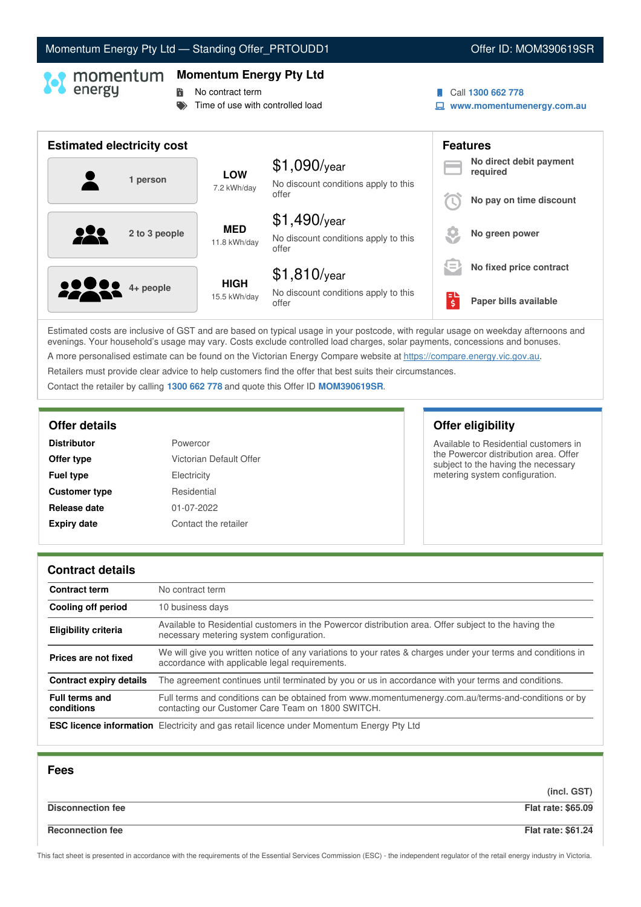# Momentum Energy Pty Ltd - Standing Offer\_PRTOUDD1 **Communist Communist Communist Communist Communist Communist Communist Communist Communist Communist Communist Communist Communist Communist Communist Communist Communist C**

### **Momentum Energy Pty Ltd**

**No contract term** 

 $\blacktriangleright$  Time of use with controlled load

- Call **1300 662 778**
- **www.momentumenergy.com.au**

| <b>Estimated electricity cost</b> |                             |                                                                 |                                                      | <b>Features</b>                     |
|-----------------------------------|-----------------------------|-----------------------------------------------------------------|------------------------------------------------------|-------------------------------------|
| 1 person                          | <b>LOW</b><br>7.2 kWh/day   | $$1,090$ /year<br>No discount conditions apply to this          |                                                      | No direct debit payment<br>required |
|                                   |                             | offer                                                           |                                                      | No pay on time discount             |
| 2 to 3 people                     | <b>MED</b><br>11.8 kWh/day  | $$1,490$ /year<br>No discount conditions apply to this<br>offer |                                                      | No green power                      |
|                                   |                             | $$1,810$ /year                                                  | $\overline{\phantom{a}}$<br>$\overline{\phantom{a}}$ | No fixed price contract             |
| <b>22 8 4+ people</b>             | <b>HIGH</b><br>15.5 kWh/day | No discount conditions apply to this<br>offer                   | ЕL<br>ś                                              | Paper bills available               |

Estimated costs are inclusive of GST and are based on typical usage in your postcode, with regular usage on weekday afternoons and evenings. Your household's usage may vary. Costs exclude controlled load charges, solar payments, concessions and bonuses. A more personalised estimate can be found on the Victorian Energy Compare website at <https://compare.energy.vic.gov.au>.

Retailers must provide clear advice to help customers find the offer that best suits their circumstances.

Contact the retailer by calling **1300 662 778** and quote this Offer ID **MOM390619SR**.

| Powercor                |  |
|-------------------------|--|
| Victorian Default Offer |  |
| Electricity             |  |
| Residential             |  |
| 01-07-2022              |  |
| Contact the retailer    |  |
|                         |  |

# **Offer details Offer eligibility**

Available to Residential customers in the Powercor distribution area. Offer subject to the having the necessary metering system configuration.

### **Contract details**

| <b>Contract term</b>                | No contract term                                                                                                                                               |
|-------------------------------------|----------------------------------------------------------------------------------------------------------------------------------------------------------------|
| Cooling off period                  | 10 business days                                                                                                                                               |
| <b>Eligibility criteria</b>         | Available to Residential customers in the Powercor distribution area. Offer subject to the having the<br>necessary metering system configuration.              |
| Prices are not fixed                | We will give you written notice of any variations to your rates & charges under your terms and conditions in<br>accordance with applicable legal requirements. |
| <b>Contract expiry details</b>      | The agreement continues until terminated by you or us in accordance with your terms and conditions.                                                            |
| <b>Full terms and</b><br>conditions | Full terms and conditions can be obtained from www.momentumenergy.com.au/terms-and-conditions or by<br>contacting our Customer Care Team on 1800 SWITCH.       |
|                                     | <b>ESC licence information</b> Electricity and gas retail licence under Momentum Energy Pty Ltd                                                                |

| <b>Fees</b>              |                           |
|--------------------------|---------------------------|
|                          | (incl. GST)               |
| <b>Disconnection fee</b> | <b>Flat rate: \$65.09</b> |
| <b>Reconnection fee</b>  | <b>Flat rate: \$61.24</b> |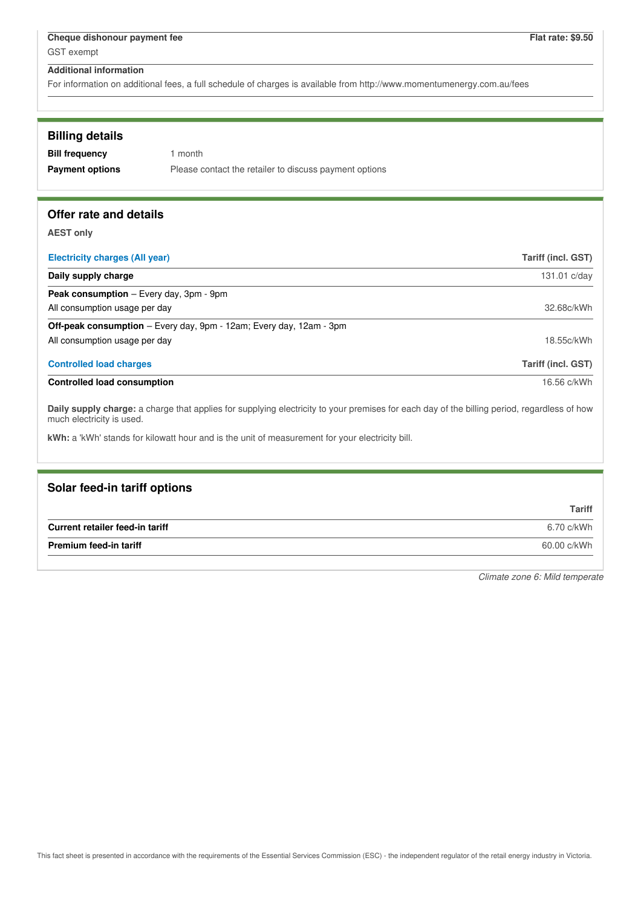For information on additional fees, a full schedule of charges is available from http://www.momentumenergy.com.au/fees

| <b>Billing details</b> |  |
|------------------------|--|
|------------------------|--|

| <b>Bill frequency</b>  | 1 month                                                |
|------------------------|--------------------------------------------------------|
| <b>Payment options</b> | Please contact the retailer to discuss payment options |

# **Offer rate and details**

**AEST only**

| <b>Electricity charges (All year)</b>                                                                                                                                    | <b>Tariff (incl. GST)</b> |
|--------------------------------------------------------------------------------------------------------------------------------------------------------------------------|---------------------------|
| Daily supply charge                                                                                                                                                      | 131.01 c/day              |
| <b>Peak consumption</b> – Every day, 3pm - 9pm                                                                                                                           |                           |
| All consumption usage per day                                                                                                                                            | 32.68c/kWh                |
| <b>Off-peak consumption</b> – Every day, 9pm - 12am; Every day, 12am - 3pm                                                                                               |                           |
| All consumption usage per day                                                                                                                                            | 18.55c/kWh                |
| <b>Controlled load charges</b>                                                                                                                                           | <b>Tariff (incl. GST)</b> |
| <b>Controlled load consumption</b>                                                                                                                                       | 16.56 c/kWh               |
| Daily supply charge: a charge that applies for supplying electricity to your premises for each day of the billing period, regardless of how<br>much electricity is used. |                           |
| kWh: a 'kWh' stands for kilowatt hour and is the unit of measurement for your electricity bill.                                                                          |                           |

| Solar feed-in tariff options    |               |
|---------------------------------|---------------|
|                                 | <b>Tariff</b> |
| Current retailer feed-in tariff | 6.70 c/kWh    |
| <b>Premium feed-in tariff</b>   | 60.00 c/kWh   |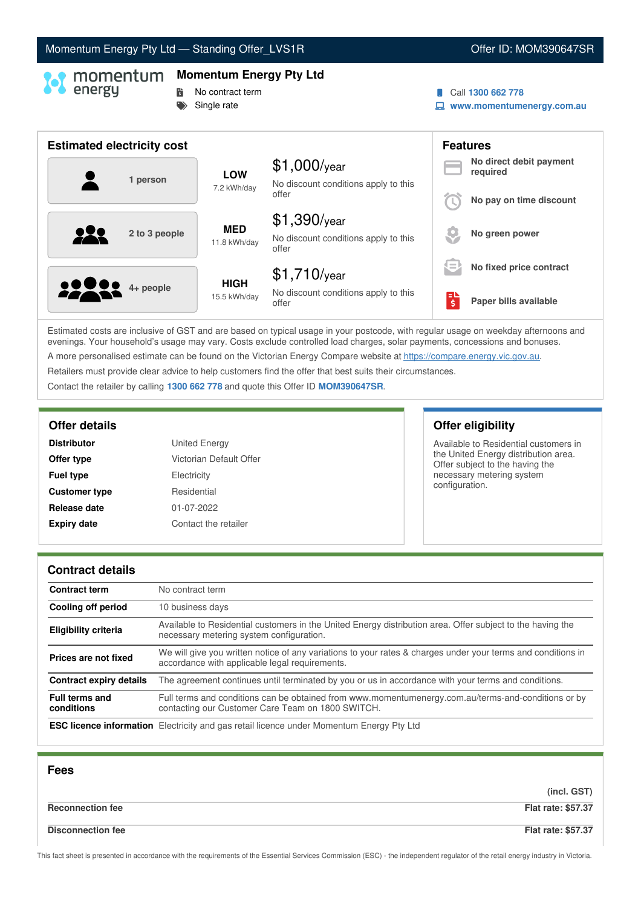# Momentum Energy Pty Ltd - Standing Offer\_LVS1R **Communist Communist Communist Communist Communist Communist Communist Communist Communist Communist Communist Communist Communist Communist Communist Communist Communist Comm**

# **Momentum Energy Pty Ltd**

- **No contract term**
- Single rate

### Call **1300 662 778**

**www.momentumenergy.com.au**

| <b>Estimated electricity cost</b> |                             |                                                                 |        | <b>Features</b>                     |
|-----------------------------------|-----------------------------|-----------------------------------------------------------------|--------|-------------------------------------|
| 1 person                          | <b>LOW</b><br>7.2 kWh/day   | $$1,000$ /year<br>No discount conditions apply to this          |        | No direct debit payment<br>required |
|                                   |                             | offer                                                           |        | No pay on time discount             |
| 2 to 3 people                     | <b>MED</b><br>11.8 kWh/day  | $$1,390$ /year<br>No discount conditions apply to this<br>offer |        | No green power                      |
|                                   |                             | $$1,710$ /year                                                  | $=$    | No fixed price contract             |
| <b>2200</b> 4+ people             | <b>HIGH</b><br>15.5 kWh/day | No discount conditions apply to this<br>offer                   | н<br>Ś | Paper bills available               |

Estimated costs are inclusive of GST and are based on typical usage in your postcode, with regular usage on weekday afternoons and evenings. Your household's usage may vary. Costs exclude controlled load charges, solar payments, concessions and bonuses. A more personalised estimate can be found on the Victorian Energy Compare website at <https://compare.energy.vic.gov.au>.

Retailers must provide clear advice to help customers find the offer that best suits their circumstances.

Contact the retailer by calling **1300 662 778** and quote this Offer ID **MOM390647SR**.

| <b>United Energy</b>    |
|-------------------------|
| Victorian Default Offer |
| Electricity             |
| Residential             |
| 01-07-2022              |
| Contact the retailer    |
|                         |

# **Offer details Offer eligibility**

Available to Residential customers in the United Energy distribution area. Offer subject to the having the necessary metering system configuration.

### **Contract details**

| <b>Contract term</b>                | No contract term                                                                                                                                               |
|-------------------------------------|----------------------------------------------------------------------------------------------------------------------------------------------------------------|
| Cooling off period                  | 10 business days                                                                                                                                               |
| <b>Eligibility criteria</b>         | Available to Residential customers in the United Energy distribution area. Offer subject to the having the<br>necessary metering system configuration.         |
| Prices are not fixed                | We will give you written notice of any variations to your rates & charges under your terms and conditions in<br>accordance with applicable legal requirements. |
| <b>Contract expiry details</b>      | The agreement continues until terminated by you or us in accordance with your terms and conditions.                                                            |
| <b>Full terms and</b><br>conditions | Full terms and conditions can be obtained from www.momentumenergy.com.au/terms-and-conditions or by<br>contacting our Customer Care Team on 1800 SWITCH.       |
|                                     | <b>ESC licence information</b> Electricity and gas retail licence under Momentum Energy Pty Ltd                                                                |

| <b>Fees</b>              |                           |
|--------------------------|---------------------------|
|                          | (incl. GST)               |
| <b>Reconnection fee</b>  | <b>Flat rate: \$57.37</b> |
| <b>Disconnection fee</b> | <b>Flat rate: \$57.37</b> |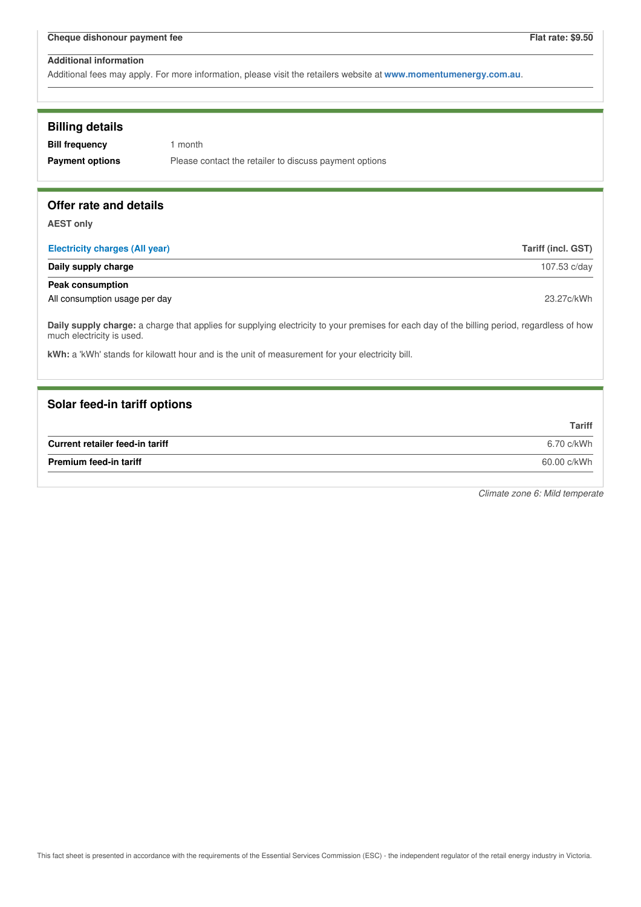Additional fees may apply. For more information, please visit the retailers website at **www.momentumenergy.com.au**.

| <b>Billing details</b><br><b>Bill frequency</b><br><b>Payment options</b> | 1 month<br>Please contact the retailer to discuss payment options                                                                           |                    |
|---------------------------------------------------------------------------|---------------------------------------------------------------------------------------------------------------------------------------------|--------------------|
| Offer rate and details                                                    |                                                                                                                                             |                    |
| <b>AEST only</b>                                                          |                                                                                                                                             |                    |
| <b>Electricity charges (All year)</b>                                     |                                                                                                                                             | Tariff (incl. GST) |
| Daily supply charge                                                       |                                                                                                                                             | 107.53 c/day       |
| <b>Peak consumption</b>                                                   |                                                                                                                                             |                    |
| All consumption usage per day                                             |                                                                                                                                             | 23.27c/kWh         |
| much electricity is used.                                                 | Daily supply charge: a charge that applies for supplying electricity to your premises for each day of the billing period, regardless of how |                    |
|                                                                           | kWh: a 'kWh' stands for kilowatt hour and is the unit of measurement for your electricity bill.                                             |                    |
|                                                                           |                                                                                                                                             |                    |
| Solar feed-in tariff options                                              |                                                                                                                                             |                    |
|                                                                           |                                                                                                                                             | <b>Tariff</b>      |
| Current retailer feed-in tariff                                           |                                                                                                                                             | 6.70 c/kWh         |
| <b>Premium feed-in tariff</b><br>60.00 c/kWh                              |                                                                                                                                             |                    |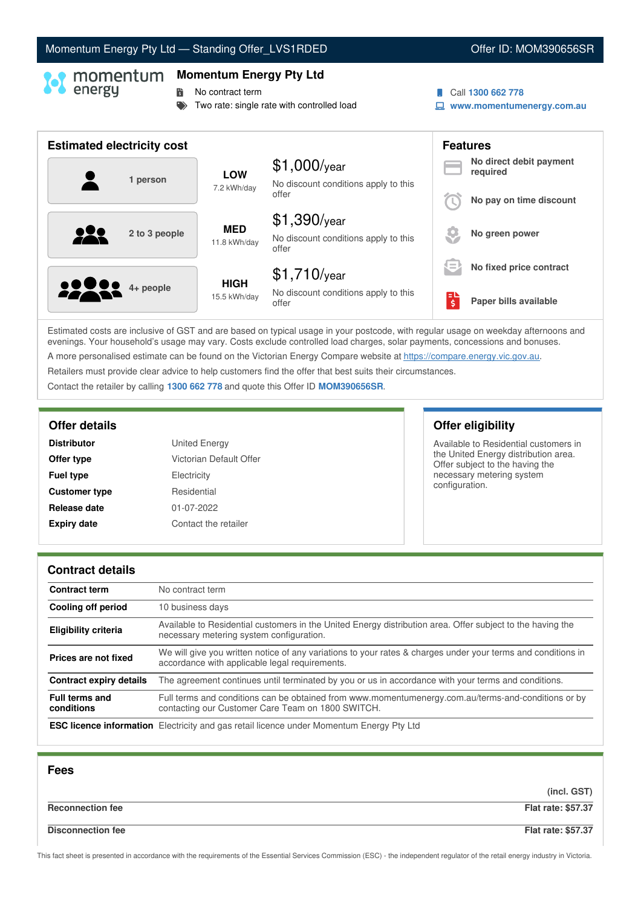# Momentum Energy Pty Ltd - Standing Offer\_LVS1RDED **Communist Communist Communist Communist Communist Communist Communist Communist Communist Communist Communist Communist Communist Communist Communist Communist Communist C**

# **Momentum Energy Pty Ltd**

**No contract term** 

- Two rate: single rate with controlled load
- Call **1300 662 778**
- **www.momentumenergy.com.au**

| <b>Estimated electricity cost</b> |                             |                                                                 |          | <b>Features</b>                     |
|-----------------------------------|-----------------------------|-----------------------------------------------------------------|----------|-------------------------------------|
| 1 person                          | <b>LOW</b><br>7.2 kWh/day   | $$1,000$ /year<br>No discount conditions apply to this          |          | No direct debit payment<br>required |
|                                   |                             | offer                                                           |          | No pay on time discount             |
| 222<br>2 to 3 people              | <b>MED</b><br>11.8 kWh/day  | $$1,390$ /year<br>No discount conditions apply to this<br>offer |          | No green power                      |
|                                   |                             | $$1,710$ /year                                                  | $=$      | No fixed price contract             |
| <b>22 00</b> 4+ people            | <b>HIGH</b><br>15.5 kWh/day | No discount conditions apply to this<br>offer                   | ЕU<br>\$ | Paper bills available               |

Estimated costs are inclusive of GST and are based on typical usage in your postcode, with regular usage on weekday afternoons and evenings. Your household's usage may vary. Costs exclude controlled load charges, solar payments, concessions and bonuses. A more personalised estimate can be found on the Victorian Energy Compare website at <https://compare.energy.vic.gov.au>.

Retailers must provide clear advice to help customers find the offer that best suits their circumstances.

Contact the retailer by calling **1300 662 778** and quote this Offer ID **MOM390656SR**.

| <b>United Energy</b>    |
|-------------------------|
| Victorian Default Offer |
| Electricity             |
| Residential             |
| 01-07-2022              |
| Contact the retailer    |
|                         |

# **Offer details Offer eligibility**

Available to Residential customers in the United Energy distribution area. Offer subject to the having the necessary metering system configuration.

### **Contract details**

| <b>Contract term</b>                | No contract term                                                                                                                                               |
|-------------------------------------|----------------------------------------------------------------------------------------------------------------------------------------------------------------|
| Cooling off period                  | 10 business days                                                                                                                                               |
| <b>Eligibility criteria</b>         | Available to Residential customers in the United Energy distribution area. Offer subject to the having the<br>necessary metering system configuration.         |
| Prices are not fixed                | We will give you written notice of any variations to your rates & charges under your terms and conditions in<br>accordance with applicable legal requirements. |
| <b>Contract expiry details</b>      | The agreement continues until terminated by you or us in accordance with your terms and conditions.                                                            |
| <b>Full terms and</b><br>conditions | Full terms and conditions can be obtained from www.momentumenergy.com.au/terms-and-conditions or by<br>contacting our Customer Care Team on 1800 SWITCH.       |
|                                     | <b>ESC licence information</b> Electricity and gas retail licence under Momentum Energy Pty Ltd                                                                |

| <b>Fees</b>              |                           |
|--------------------------|---------------------------|
|                          | (incl. GST)               |
| <b>Reconnection fee</b>  | <b>Flat rate: \$57.37</b> |
| <b>Disconnection fee</b> | <b>Flat rate: \$57.37</b> |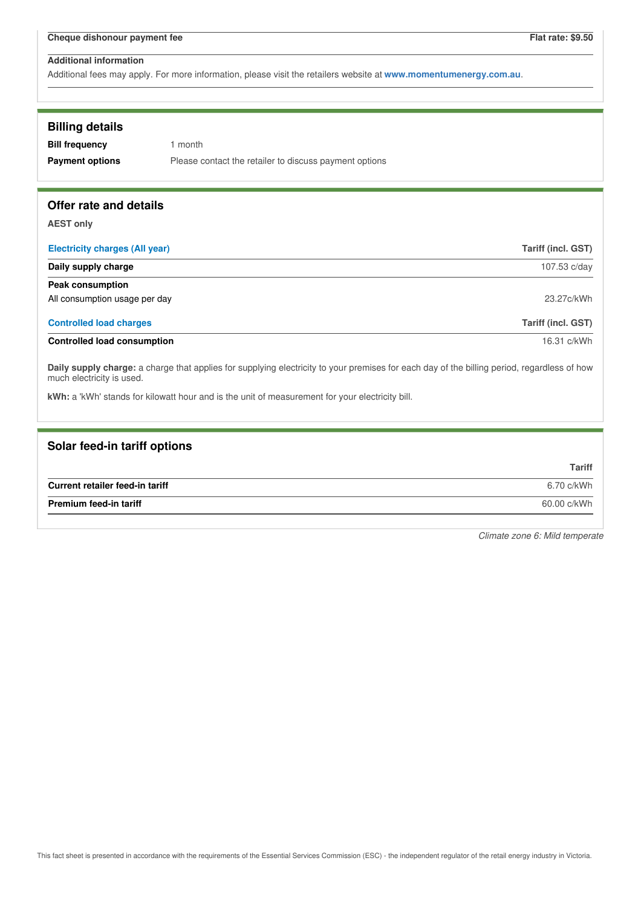Additional fees may apply. For more information, please visit the retailers website at **www.momentumenergy.com.au**.

| <b>Billing details</b><br><b>Bill frequency</b><br><b>Payment options</b>                                                                                                | 1 month<br>Please contact the retailer to discuss payment options                               |                           |
|--------------------------------------------------------------------------------------------------------------------------------------------------------------------------|-------------------------------------------------------------------------------------------------|---------------------------|
| Offer rate and details                                                                                                                                                   |                                                                                                 |                           |
| <b>AEST only</b>                                                                                                                                                         |                                                                                                 |                           |
| <b>Electricity charges (All year)</b>                                                                                                                                    |                                                                                                 | <b>Tariff (incl. GST)</b> |
| Daily supply charge                                                                                                                                                      |                                                                                                 | 107.53 c/day              |
| <b>Peak consumption</b>                                                                                                                                                  |                                                                                                 |                           |
| All consumption usage per day                                                                                                                                            |                                                                                                 | 23.27c/kWh                |
| <b>Controlled load charges</b>                                                                                                                                           |                                                                                                 | <b>Tariff (incl. GST)</b> |
| <b>Controlled load consumption</b>                                                                                                                                       |                                                                                                 | 16.31 c/kWh               |
| Daily supply charge: a charge that applies for supplying electricity to your premises for each day of the billing period, regardless of how<br>much electricity is used. |                                                                                                 |                           |
|                                                                                                                                                                          | kWh: a 'kWh' stands for kilowatt hour and is the unit of measurement for your electricity bill. |                           |
|                                                                                                                                                                          |                                                                                                 |                           |

| Solar feed-in tariff options    |               |
|---------------------------------|---------------|
|                                 | <b>Tariff</b> |
| Current retailer feed-in tariff | 6.70 c/kWh    |
| <b>Premium feed-in tariff</b>   | 60.00 c/kWh   |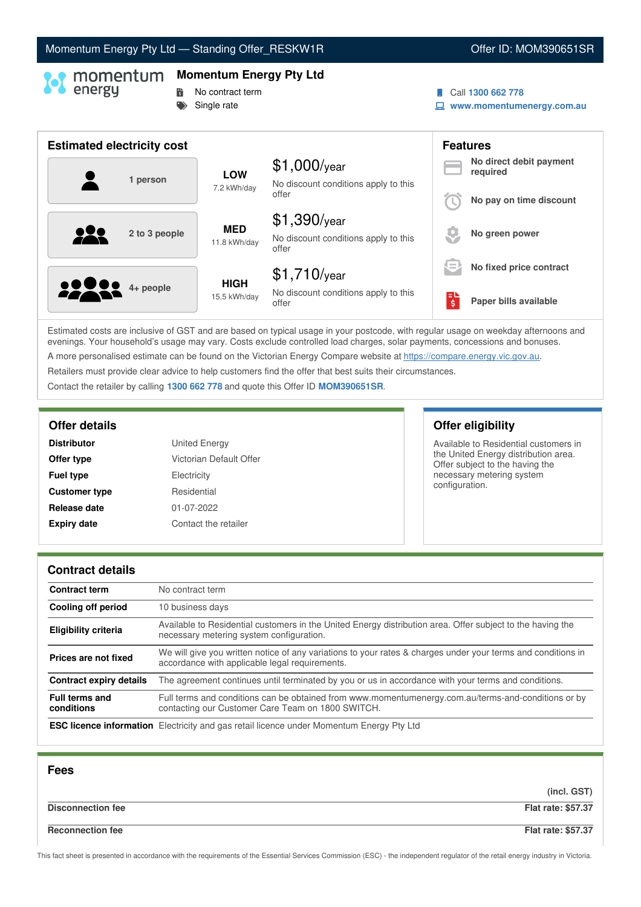# Momentum Energy Pty Ltd - Standing Offer\_RESKW1R **Communist Communist Communist Communist Communist Communist Communist Communist Communist Communist Communist Communist Communist Communist Communist Communist Communist Co**

### **Momentum Energy Pty Ltd**

- **No contract term**
- Single rate
- Call **1300 662 778**
- **www.momentumenergy.com.au**

| <b>Estimated electricity cost</b> |                             |                                                                 |         | <b>Features</b>                     |
|-----------------------------------|-----------------------------|-----------------------------------------------------------------|---------|-------------------------------------|
| 1 person                          | <b>LOW</b><br>7.2 kWh/day   | $$1,000$ /year<br>No discount conditions apply to this          |         | No direct debit payment<br>required |
|                                   |                             | offer                                                           |         | No pay on time discount             |
| 2 to 3 people                     | <b>MED</b><br>11.8 kWh/day  | $$1,390$ /year<br>No discount conditions apply to this<br>offer |         | No green power                      |
|                                   |                             | $$1,710$ /year                                                  | $=$     | No fixed price contract             |
| <b>2000</b> 4+ people             | <b>HIGH</b><br>15.5 kWh/day | No discount conditions apply to this<br>offer                   | ы<br>\$ | Paper bills available               |

Estimated costs are inclusive of GST and are based on typical usage in your postcode, with regular usage on weekday afternoons and evenings. Your household's usage may vary. Costs exclude controlled load charges, solar payments, concessions and bonuses. A more personalised estimate can be found on the Victorian Energy Compare website at <https://compare.energy.vic.gov.au>.

Retailers must provide clear advice to help customers find the offer that best suits their circumstances.

Contact the retailer by calling **1300 662 778** and quote this Offer ID **MOM390651SR**.

| <b>United Energy</b>    |
|-------------------------|
| Victorian Default Offer |
| Electricity             |
| Residential             |
| 01-07-2022              |
| Contact the retailer    |
|                         |

# **Offer details Offer eligibility**

Available to Residential customers in the United Energy distribution area. Offer subject to the having the necessary metering system configuration.

### **Contract details**

| <b>Contract term</b>                | No contract term                                                                                                                                               |
|-------------------------------------|----------------------------------------------------------------------------------------------------------------------------------------------------------------|
| Cooling off period                  | 10 business days                                                                                                                                               |
| <b>Eligibility criteria</b>         | Available to Residential customers in the United Energy distribution area. Offer subject to the having the<br>necessary metering system configuration.         |
| Prices are not fixed                | We will give you written notice of any variations to your rates & charges under your terms and conditions in<br>accordance with applicable legal requirements. |
| <b>Contract expiry details</b>      | The agreement continues until terminated by you or us in accordance with your terms and conditions.                                                            |
| <b>Full terms and</b><br>conditions | Full terms and conditions can be obtained from www.momentumenergy.com.au/terms-and-conditions or by<br>contacting our Customer Care Team on 1800 SWITCH.       |
|                                     | <b>ESC licence information</b> Electricity and gas retail licence under Momentum Energy Pty Ltd                                                                |

| <b>Fees</b>              |                           |
|--------------------------|---------------------------|
|                          | (incl. GST)               |
| <b>Disconnection fee</b> | <b>Flat rate: \$57.37</b> |
| <b>Reconnection fee</b>  | <b>Flat rate: \$57.37</b> |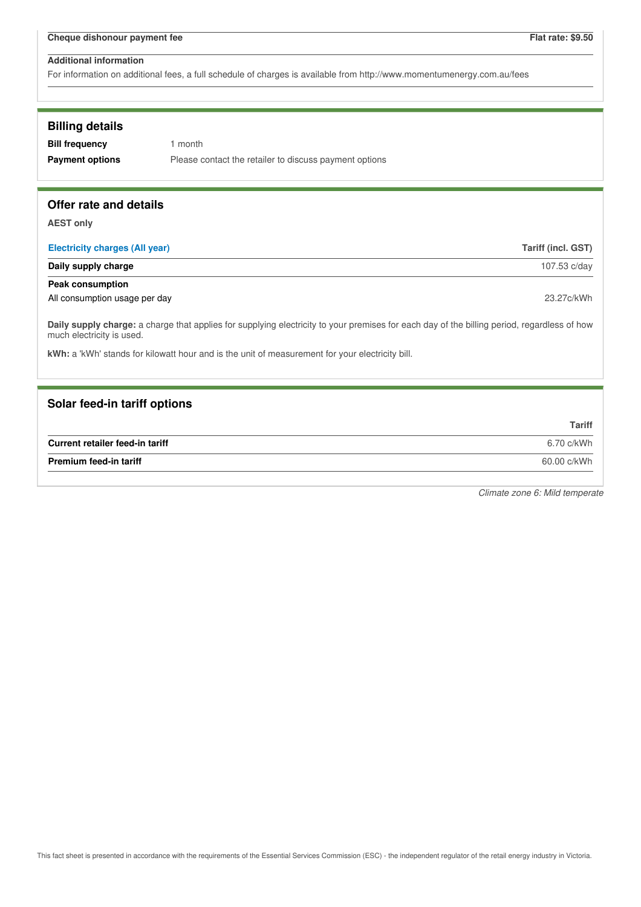For information on additional fees, a full schedule of charges is available from http://www.momentumenergy.com.au/fees

### **Billing details**

**Bill frequency** 1 month

**Payment options** Please contact the retailer to discuss payment options

# **Offer rate and details**

**AEST only**

| <b>Electricity charges (All year)</b> | Tariff (incl. GST) |
|---------------------------------------|--------------------|
| Daily supply charge                   | 107.53 c/day       |
| Peak consumption                      |                    |
| All consumption usage per day         | 23.27c/kWh         |

**Daily supply charge:** a charge that applies for supplying electricity to your premises for each day of the billing period, regardless of how much electricity is used.

**kWh:** a 'kWh' stands for kilowatt hour and is the unit of measurement for your electricity bill.

### **Solar feed-in tariff options**

|                                 | Tariff      |
|---------------------------------|-------------|
| Current retailer feed-in tariff | 6.70 c/kWh  |
| <b>Premium feed-in tariff</b>   | 60.00 c/kWh |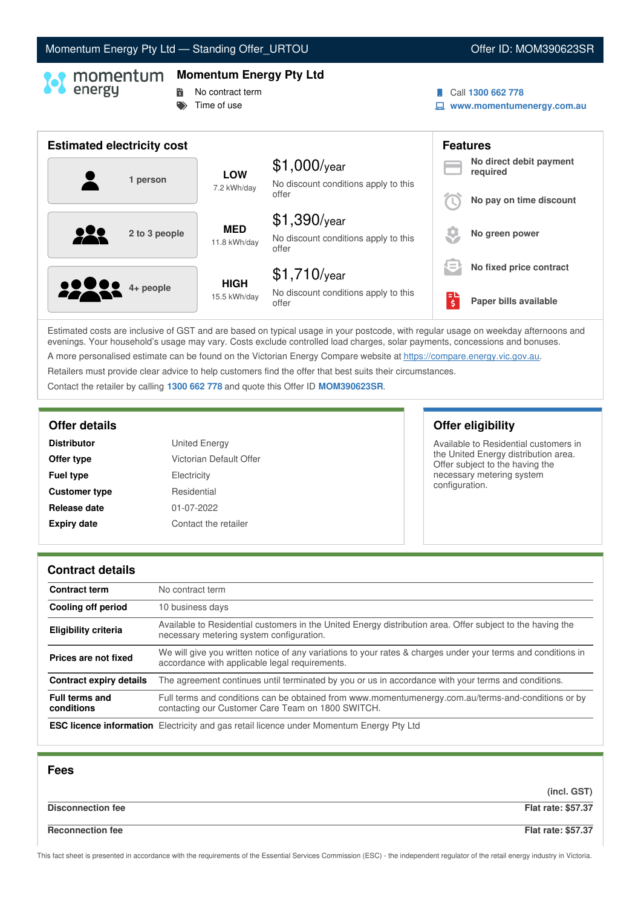# Momentum Energy Pty Ltd - Standing Offer\_URTOU Now and Content Content ID: MOM390623SR

# **Momentum Energy Pty Ltd**

- **No contract term**
- $\Rightarrow$  Time of use
- Call **1300 662 778**
- **www.momentumenergy.com.au**

| <b>Estimated electricity cost</b> |                             |                                                                 |                                                          | <b>Features</b>                     |
|-----------------------------------|-----------------------------|-----------------------------------------------------------------|----------------------------------------------------------|-------------------------------------|
| 1 person                          | <b>LOW</b><br>7.2 kWh/day   | $$1,000$ /year<br>No discount conditions apply to this          |                                                          | No direct debit payment<br>required |
|                                   |                             | offer                                                           |                                                          | No pay on time discount             |
| 2 to 3 people                     | <b>MED</b><br>11.8 kWh/day  | $$1,390$ /year<br>No discount conditions apply to this<br>offer |                                                          | No green power                      |
|                                   |                             | $$1,710$ /year                                                  | $\overline{\phantom{a}}$<br>$\qquad \qquad \blacksquare$ | No fixed price contract             |
| <b>22200</b> 4+ people            | <b>HIGH</b><br>15.5 kWh/day | No discount conditions apply to this<br>offer                   | \$                                                       | Paper bills available               |

Estimated costs are inclusive of GST and are based on typical usage in your postcode, with regular usage on weekday afternoons and evenings. Your household's usage may vary. Costs exclude controlled load charges, solar payments, concessions and bonuses. A more personalised estimate can be found on the Victorian Energy Compare website at <https://compare.energy.vic.gov.au>.

Retailers must provide clear advice to help customers find the offer that best suits their circumstances.

Contact the retailer by calling **1300 662 778** and quote this Offer ID **MOM390623SR**.

| <b>United Energy</b>    |
|-------------------------|
| Victorian Default Offer |
| Electricity             |
| Residential             |
| 01-07-2022              |
| Contact the retailer    |
|                         |

# **Offer details Offer eligibility**

Available to Residential customers in the United Energy distribution area. Offer subject to the having the necessary metering system configuration.

### **Contract details**

| <b>Contract term</b>                | No contract term                                                                                                                                               |
|-------------------------------------|----------------------------------------------------------------------------------------------------------------------------------------------------------------|
| Cooling off period                  | 10 business days                                                                                                                                               |
| <b>Eligibility criteria</b>         | Available to Residential customers in the United Energy distribution area. Offer subject to the having the<br>necessary metering system configuration.         |
| Prices are not fixed                | We will give you written notice of any variations to your rates & charges under your terms and conditions in<br>accordance with applicable legal requirements. |
| <b>Contract expiry details</b>      | The agreement continues until terminated by you or us in accordance with your terms and conditions.                                                            |
| <b>Full terms and</b><br>conditions | Full terms and conditions can be obtained from www.momentumenergy.com.au/terms-and-conditions or by<br>contacting our Customer Care Team on 1800 SWITCH.       |
|                                     | <b>ESC licence information</b> Electricity and gas retail licence under Momentum Energy Pty Ltd                                                                |

| <b>Fees</b>              |                           |
|--------------------------|---------------------------|
|                          | (incl. GST)               |
| <b>Disconnection fee</b> | <b>Flat rate: \$57.37</b> |
| <b>Reconnection fee</b>  | <b>Flat rate: \$57.37</b> |